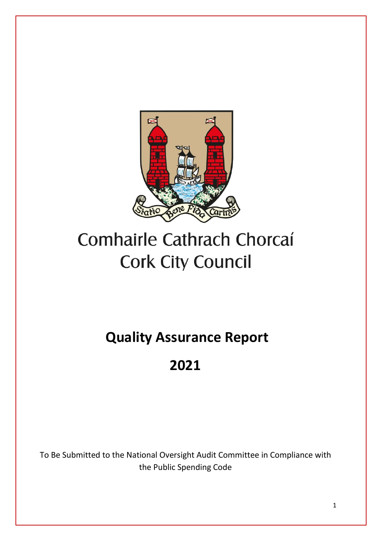

# Comhairle Cathrach Chorcaí **Cork City Council**

**Quality Assurance Report** 

## **2021**

To Be Submitted to the National Oversight Audit Committee in Compliance with the Public Spending Code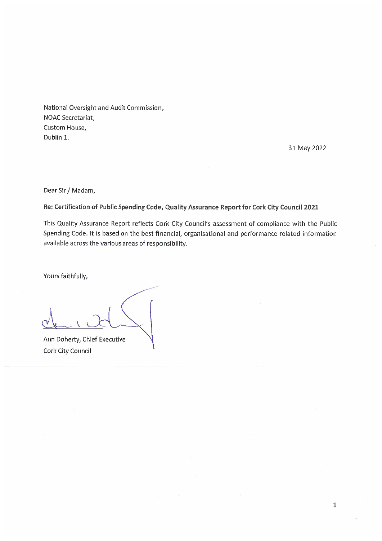National Oversight and Audit Commission, NOAC Secretariat, Custom House, Dublin 1.

31 May 2022

Dear Sir / Madam,

Re: Certification of Public Spending Code, Quality Assurance Report for Cork City Council 2021

This Quality Assurance Report reflects Cork City Council's assessment of compliance with the Public Spending Code. It is based on the best financial, organisational and performance related information available across the various areas of responsibility.

Yours faithfully,

Ann Doherty, Chief Executive Cork City Council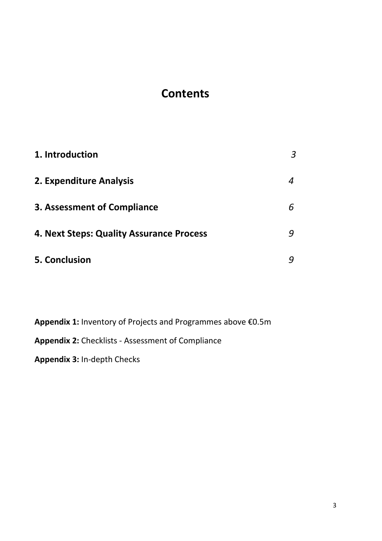## **Contents**

| 1. Introduction                          | 3 |
|------------------------------------------|---|
| 2. Expenditure Analysis                  | 4 |
| <b>3. Assessment of Compliance</b>       | 6 |
| 4. Next Steps: Quality Assurance Process | 9 |
| 5. Conclusion                            |   |

**Appendix 1:** Inventory of Projects and Programmes above €0.5m **Appendix 2:** Checklists - Assessment of Compliance

**Appendix 3:** In-depth Checks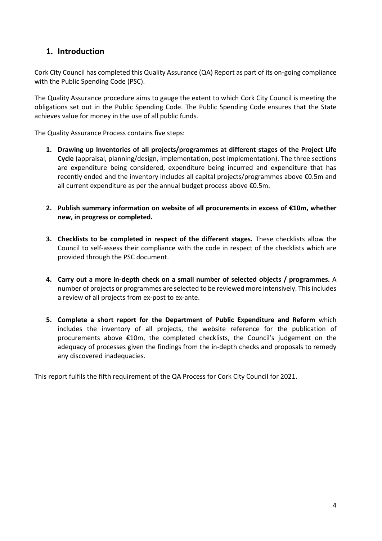#### **1. Introduction**

Cork City Council has completed this Quality Assurance (QA) Report as part of its on-going compliance with the Public Spending Code (PSC).

The Quality Assurance procedure aims to gauge the extent to which Cork City Council is meeting the obligations set out in the Public Spending Code. The Public Spending Code ensures that the State achieves value for money in the use of all public funds.

The Quality Assurance Process contains five steps:

- **1. Drawing up Inventories of all projects/programmes at different stages of the Project Life Cycle** (appraisal, planning/design, implementation, post implementation). The three sections are expenditure being considered, expenditure being incurred and expenditure that has recently ended and the inventory includes all capital projects/programmes above €0.5m and all current expenditure as per the annual budget process above €0.5m.
- **2. Publish summary information on website of all procurements in excess of €10m, whether new, in progress or completed.**
- **3. Checklists to be completed in respect of the different stages.** These checklists allow the Council to self-assess their compliance with the code in respect of the checklists which are provided through the PSC document.
- **4. Carry out a more in-depth check on a small number of selected objects / programmes.** A number of projects or programmes are selected to be reviewed more intensively. This includes a review of all projects from ex-post to ex-ante.
- **5. Complete a short report for the Department of Public Expenditure and Reform** which includes the inventory of all projects, the website reference for the publication of procurements above €10m, the completed checklists, the Council's judgement on the adequacy of processes given the findings from the in-depth checks and proposals to remedy any discovered inadequacies.

This report fulfils the fifth requirement of the QA Process for Cork City Council for 2021.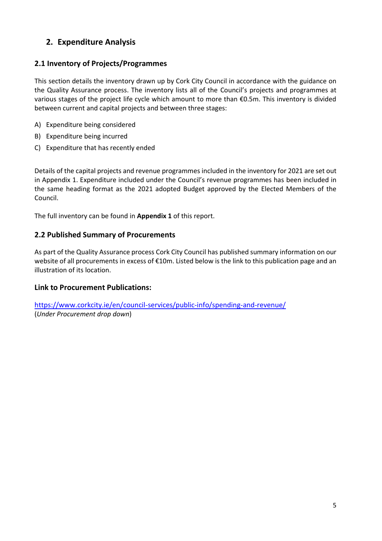## **2. Expenditure Analysis**

#### **2.1 Inventory of Projects/Programmes**

This section details the inventory drawn up by Cork City Council in accordance with the guidance on the Quality Assurance process. The inventory lists all of the Council's projects and programmes at various stages of the project life cycle which amount to more than €0.5m. This inventory is divided between current and capital projects and between three stages:

- A) Expenditure being considered
- B) Expenditure being incurred
- C) Expenditure that has recently ended

Details of the capital projects and revenue programmes included in the inventory for 2021 are set out in Appendix 1. Expenditure included under the Council's revenue programmes has been included in the same heading format as the 2021 adopted Budget approved by the Elected Members of the Council.

The full inventory can be found in **Appendix 1** of this report.

#### **2.2 Published Summary of Procurements**

As part of the Quality Assurance process Cork City Council has published summary information on our website of all procurements in excess of €10m. Listed below is the link to this publication page and an illustration of its location.

#### **Link to Procurement Publications:**

<https://www.corkcity.ie/en/council-services/public-info/spending-and-revenue/> (*Under Procurement drop down*)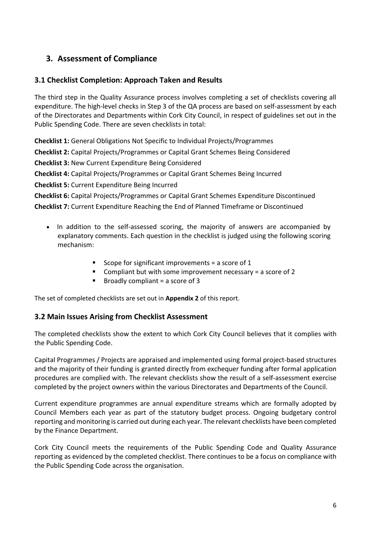## **3. Assessment of Compliance**

#### **3.1 Checklist Completion: Approach Taken and Results**

The third step in the Quality Assurance process involves completing a set of checklists covering all expenditure. The high-level checks in Step 3 of the QA process are based on self-assessment by each of the Directorates and Departments within Cork City Council, in respect of guidelines set out in the Public Spending Code. There are seven checklists in total:

**Checklist 1:** General Obligations Not Specific to Individual Projects/Programmes

**Checklist 2:** Capital Projects/Programmes or Capital Grant Schemes Being Considered

**Checklist 3:** New Current Expenditure Being Considered

**Checklist 4:** Capital Projects/Programmes or Capital Grant Schemes Being Incurred

**Checklist 5:** Current Expenditure Being Incurred

**Checklist 6:** Capital Projects/Programmes or Capital Grant Schemes Expenditure Discontinued

**Checklist 7:** Current Expenditure Reaching the End of Planned Timeframe or Discontinued

- In addition to the self-assessed scoring, the majority of answers are accompanied by explanatory comments. Each question in the checklist is judged using the following scoring mechanism:
	- Scope for significant improvements = a score of  $1$
	- **EXECOM** Compliant but with some improvement necessary = a score of 2
	- $\blacksquare$  Broadly compliant = a score of 3

The set of completed checklists are set out in **Appendix 2** of this report.

#### **3.2 Main Issues Arising from Checklist Assessment**

The completed checklists show the extent to which Cork City Council believes that it complies with the Public Spending Code.

Capital Programmes / Projects are appraised and implemented using formal project-based structures and the majority of their funding is granted directly from exchequer funding after formal application procedures are complied with. The relevant checklists show the result of a self-assessment exercise completed by the project owners within the various Directorates and Departments of the Council.

Current expenditure programmes are annual expenditure streams which are formally adopted by Council Members each year as part of the statutory budget process. Ongoing budgetary control reporting and monitoring is carried out during each year. The relevant checklists have been completed by the Finance Department.

Cork City Council meets the requirements of the Public Spending Code and Quality Assurance reporting as evidenced by the completed checklist. There continues to be a focus on compliance with the Public Spending Code across the organisation.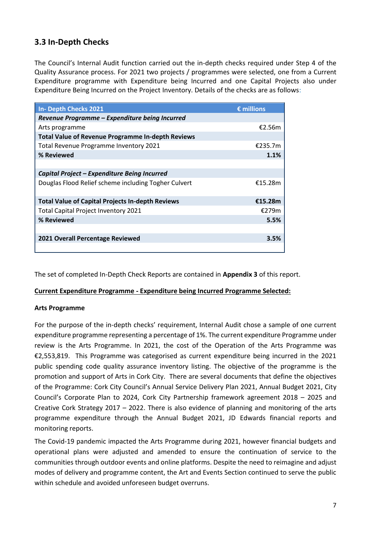### **3.3 In-Depth Checks**

The Council's Internal Audit function carried out the in-depth checks required under Step 4 of the Quality Assurance process. For 2021 two projects / programmes were selected, one from a Current Expenditure programme with Expenditure being Incurred and one Capital Projects also under Expenditure Being Incurred on the Project Inventory. Details of the checks are as follows:

| In- Depth Checks 2021                                    | $\epsilon$ millions |
|----------------------------------------------------------|---------------------|
| Revenue Programme - Expenditure being Incurred           |                     |
| Arts programme                                           | €2.56m              |
| <b>Total Value of Revenue Programme In-depth Reviews</b> |                     |
| Total Revenue Programme Inventory 2021                   | €235.7m             |
| % Reviewed                                               | 1.1%                |
|                                                          |                     |
| Capital Project - Expenditure Being Incurred             |                     |
| Douglas Flood Relief scheme including Togher Culvert     | €15.28m             |
|                                                          |                     |
| <b>Total Value of Capital Projects In-depth Reviews</b>  | €15.28m             |
| <b>Total Capital Project Inventory 2021</b>              | €279m               |
| % Reviewed                                               | 5.5%                |
|                                                          |                     |
| 2021 Overall Percentage Reviewed                         | 3.5%                |
|                                                          |                     |

The set of completed In-Depth Check Reports are contained in **Appendix 3** of this report.

#### **Current Expenditure Programme - Expenditure being Incurred Programme Selected:**

#### **Arts Programme**

For the purpose of the in-depth checks' requirement, Internal Audit chose a sample of one current expenditure programme representing a percentage of 1%. The current expenditure Programme under review is the Arts Programme. In 2021, the cost of the Operation of the Arts Programme was €2,553,819. This Programme was categorised as current expenditure being incurred in the 2021 public spending code quality assurance inventory listing. The objective of the programme is the promotion and support of Arts in Cork City. There are several documents that define the objectives of the Programme: Cork City Council's Annual Service Delivery Plan 2021, Annual Budget 2021, City Council's Corporate Plan to 2024, Cork City Partnership framework agreement 2018 – 2025 and Creative Cork Strategy 2017 – 2022. There is also evidence of planning and monitoring of the arts programme expenditure through the Annual Budget 2021, JD Edwards financial reports and monitoring reports.

The Covid-19 pandemic impacted the Arts Programme during 2021, however financial budgets and operational plans were adjusted and amended to ensure the continuation of service to the communities through outdoor events and online platforms. Despite the need to reimagine and adjust modes of delivery and programme content, the Art and Events Section continued to serve the public within schedule and avoided unforeseen budget overruns.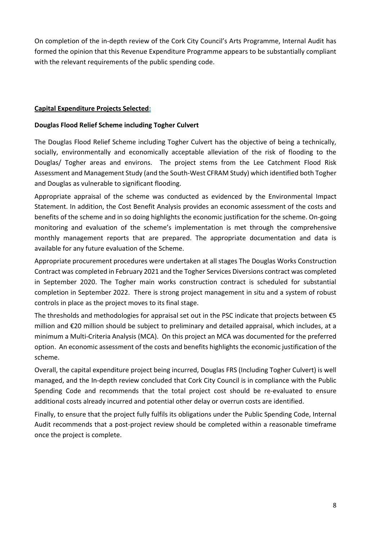On completion of the in-depth review of the Cork City Council's Arts Programme, Internal Audit has formed the opinion that this Revenue Expenditure Programme appears to be substantially compliant with the relevant requirements of the public spending code.

#### **Capital Expenditure Projects Selected:**

#### **Douglas Flood Relief Scheme including Togher Culvert**

The Douglas Flood Relief Scheme including Togher Culvert has the objective of being a technically, socially, environmentally and economically acceptable alleviation of the risk of flooding to the Douglas/ Togher areas and environs. The project stems from the Lee Catchment Flood Risk Assessment and Management Study (and the South-West CFRAM Study) which identified both Togher and Douglas as vulnerable to significant flooding.

Appropriate appraisal of the scheme was conducted as evidenced by the Environmental Impact Statement. In addition, the Cost Benefit Analysis provides an economic assessment of the costs and benefits of the scheme and in so doing highlights the economic justification for the scheme. On-going monitoring and evaluation of the scheme's implementation is met through the comprehensive monthly management reports that are prepared. The appropriate documentation and data is available for any future evaluation of the Scheme.

Appropriate procurement procedures were undertaken at all stages The Douglas Works Construction Contract was completed in February 2021 and the Togher Services Diversions contract was completed in September 2020. The Togher main works construction contract is scheduled for substantial completion in September 2022. There is strong project management in situ and a system of robust controls in place as the project moves to its final stage.

The thresholds and methodologies for appraisal set out in the PSC indicate that projects between  $\epsilon$ 5 million and €20 million should be subject to preliminary and detailed appraisal, which includes, at a minimum a Multi-Criteria Analysis (MCA). On this project an MCA was documented for the preferred option. An economic assessment of the costs and benefits highlights the economic justification of the scheme.

Overall, the capital expenditure project being incurred, Douglas FRS (Including Togher Culvert) is well managed, and the In-depth review concluded that Cork City Council is in compliance with the Public Spending Code and recommends that the total project cost should be re-evaluated to ensure additional costs already incurred and potential other delay or overrun costs are identified.

Finally, to ensure that the project fully fulfils its obligations under the Public Spending Code, Internal Audit recommends that a post-project review should be completed within a reasonable timeframe once the project is complete.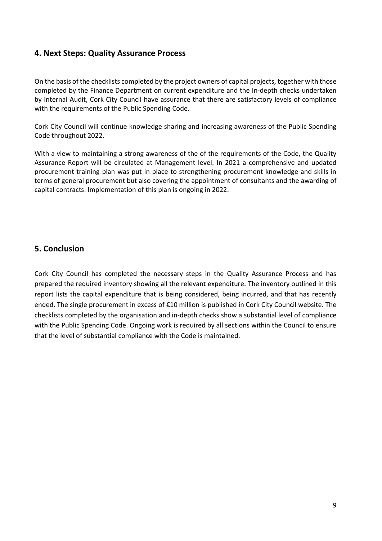#### **4. Next Steps: Quality Assurance Process**

On the basis of the checklists completed by the project owners of capital projects, together with those completed by the Finance Department on current expenditure and the In-depth checks undertaken by Internal Audit, Cork City Council have assurance that there are satisfactory levels of compliance with the requirements of the Public Spending Code.

Cork City Council will continue knowledge sharing and increasing awareness of the Public Spending Code throughout 2022.

With a view to maintaining a strong awareness of the of the requirements of the Code, the Quality Assurance Report will be circulated at Management level. In 2021 a comprehensive and updated procurement training plan was put in place to strengthening procurement knowledge and skills in terms of general procurement but also covering the appointment of consultants and the awarding of capital contracts. Implementation of this plan is ongoing in 2022.

#### **5. Conclusion**

Cork City Council has completed the necessary steps in the Quality Assurance Process and has prepared the required inventory showing all the relevant expenditure. The inventory outlined in this report lists the capital expenditure that is being considered, being incurred, and that has recently ended. The single procurement in excess of €10 million is published in Cork City Council website. The checklists completed by the organisation and in-depth checks show a substantial level of compliance with the Public Spending Code. Ongoing work is required by all sections within the Council to ensure that the level of substantial compliance with the Code is maintained.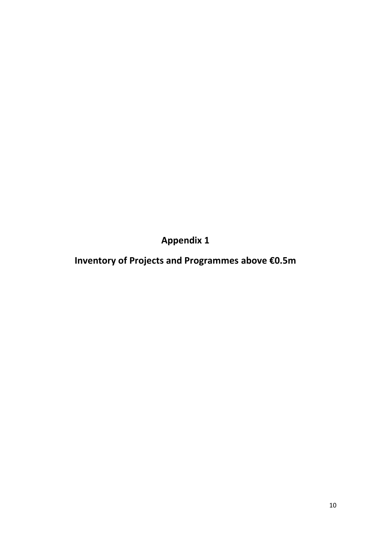**Appendix 1**

**Inventory of Projects and Programmes above €0.5m**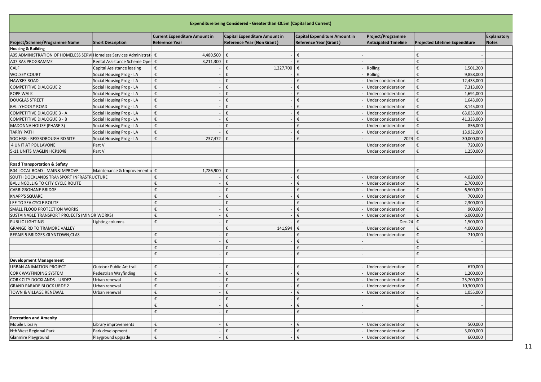| Expenditure being Considered - Greater than €0.5m (Capital and Current) |                                 |                                                        |                                                                    |                                                                |                                                  |                                       |                             |  |  |  |  |
|-------------------------------------------------------------------------|---------------------------------|--------------------------------------------------------|--------------------------------------------------------------------|----------------------------------------------------------------|--------------------------------------------------|---------------------------------------|-----------------------------|--|--|--|--|
| Project/Scheme/Programme Name                                           | <b>Short Description</b>        | <b>Current Expenditure Amount in</b><br>Reference Year | Capital Expenditure Amount in<br><b>Reference Year (Non Grant)</b> | Capital Expenditure Amount in<br><b>Reference Year (Grant)</b> | Project/Programme<br><b>Anticipated Timeline</b> | <b>Projected Lifetime Expenditure</b> | Explanatory<br><b>Notes</b> |  |  |  |  |
| <b>Housing &amp; Building</b>                                           |                                 |                                                        |                                                                    |                                                                |                                                  |                                       |                             |  |  |  |  |
| A05 ADMINISTRATION OF HOMELESS SERVIHomeless Services Administratil €   |                                 | 4,480,500                                              | €                                                                  | €                                                              |                                                  | £                                     |                             |  |  |  |  |
| <b>A07 RAS PROGRAMME</b>                                                | Rental Assistance Scheme Oper € | 3,211,300                                              |                                                                    | £                                                              |                                                  | £                                     |                             |  |  |  |  |
| CALF                                                                    | Capital Assistance leasing      |                                                        | 1,227,700                                                          | €                                                              | Rolling                                          | 1,501,200                             |                             |  |  |  |  |
| <b>WOLSEY COURT</b>                                                     | Social Housing Prog - LA        | €                                                      | €                                                                  | €                                                              | Rolling                                          | 9,858,000<br>£                        |                             |  |  |  |  |
| <b>HAWKES ROAD</b>                                                      | Social Housing Prog - LA        | €                                                      |                                                                    | €                                                              | Under consideration                              | 12,433,000                            |                             |  |  |  |  |
| <b>COMPETITIVE DIALOGUE 2</b>                                           | Social Housing Prog - LA        | €                                                      | €                                                                  | €                                                              | Under consideration                              | 7,313,000                             |                             |  |  |  |  |
| <b>ROPE WALK</b>                                                        | Social Housing Prog - LA        | €                                                      | €                                                                  | €                                                              | Under consideration                              | 1,694,000                             |                             |  |  |  |  |
| <b>DOUGLAS STREET</b>                                                   | Social Housing Prog - LA        | €                                                      | €                                                                  | €                                                              | Under consideration                              | 1,643,000                             |                             |  |  |  |  |
| <b>BALLYHOOLY ROAD</b>                                                  | Social Housing Prog - LA        | €                                                      | €                                                                  | €                                                              | Under consideration                              | 8,145,000                             |                             |  |  |  |  |
| <b>COMPETITIVE DIALOGUE 3 - A</b>                                       | Social Housing Prog - LA        | €                                                      | €                                                                  | €                                                              | Under consideration                              | 63,033,000                            |                             |  |  |  |  |
| <b>COMPETITIVE DIALOGUE 3 - B</b>                                       | Social Housing Prog - LA        | €                                                      | €                                                                  | €                                                              | Under consideration                              | 41,333,000                            |                             |  |  |  |  |
| <b>MADONNA HOUSE (PHASE 3)</b>                                          | Social Housing Prog - LA        | €                                                      | €                                                                  | €                                                              | Under consideration                              | 856,000                               |                             |  |  |  |  |
| <b>TARRY PATH</b>                                                       | Social Housing Prog - LA        | €                                                      |                                                                    | €                                                              | Under consideration                              | 13,932,000                            |                             |  |  |  |  |
| SOC HSG - BESSBOROUGH RD SITE                                           | Social Housing Prog - LA        | €<br>237,472                                           |                                                                    | €                                                              | 2024                                             | 30,000,000<br>€                       |                             |  |  |  |  |
| 4 UNIT AT POULAVONE                                                     | Part V                          |                                                        |                                                                    |                                                                | Under consideration                              | 720,000                               |                             |  |  |  |  |
| 5-11 UNITS MAGLIN HCP1048                                               | Part V                          |                                                        |                                                                    |                                                                | Under consideration                              | 1,250,000                             |                             |  |  |  |  |
|                                                                         |                                 |                                                        |                                                                    |                                                                |                                                  |                                       |                             |  |  |  |  |
| Road Transportation & Safety                                            |                                 |                                                        |                                                                    |                                                                |                                                  |                                       |                             |  |  |  |  |
| <b>B04 LOCAL ROAD - MAIN&amp;IMPROVE</b>                                | Maintenance & Improvement o     | 1,786,900<br>€                                         |                                                                    | €                                                              |                                                  |                                       |                             |  |  |  |  |
| SOUTH DOCKLANDS TRANSPORT INFRASTRUCTURE                                |                                 | €                                                      |                                                                    | €                                                              | Under consideration                              | 4,020,000                             |                             |  |  |  |  |
| BALLINCOLLIG TO CITY CYCLE ROUTE                                        |                                 | £                                                      | €                                                                  | ŧ                                                              | Under consideration                              | 2,700,000                             |                             |  |  |  |  |
| <b>CARRIGROHANE BRIDGE</b>                                              |                                 |                                                        | €                                                                  | €                                                              | Under consideration                              | 6,500,000                             |                             |  |  |  |  |
| <b>KNAPP'S SQUARE</b>                                                   |                                 |                                                        |                                                                    | €                                                              | Under consideration                              | 700,000                               |                             |  |  |  |  |
| LEE TO SEA CYCLE ROUTE                                                  |                                 | £                                                      | €                                                                  | €                                                              | Under consideration                              | 2,300,000                             |                             |  |  |  |  |
| SMALL FLOOD PROTECTION WORKS                                            |                                 | €                                                      | €                                                                  | ŧ                                                              | Under consideration                              | 900,000                               |                             |  |  |  |  |
| SUSTAINABLE TRANSPORT PROJECTS (MINOR WORKS)                            |                                 | €                                                      |                                                                    | ŧ                                                              | Under consideration                              | 6,000,000                             |                             |  |  |  |  |
| PUBLIC LIGHTING                                                         | Lighting columns                | €                                                      | €                                                                  | ŧ                                                              | Dec-24                                           | 1,500,000                             |                             |  |  |  |  |
| <b>GRANGE RD TO TRAMORE VALLEY</b>                                      |                                 |                                                        | 141,994<br>€                                                       | €                                                              | Under consideration                              | 4,000,000                             |                             |  |  |  |  |
| REPAIR 5 BRIDGES-GLYNTOWN, CLAS                                         |                                 |                                                        |                                                                    | €                                                              | Under consideration                              | 710,000                               |                             |  |  |  |  |
|                                                                         |                                 | €                                                      | €                                                                  | €                                                              |                                                  |                                       |                             |  |  |  |  |
|                                                                         |                                 | €                                                      | €                                                                  | €                                                              |                                                  |                                       |                             |  |  |  |  |
|                                                                         |                                 | €                                                      |                                                                    | €                                                              |                                                  |                                       |                             |  |  |  |  |
| <b>Development Management</b>                                           |                                 |                                                        |                                                                    |                                                                |                                                  |                                       |                             |  |  |  |  |
| <b>URBAN ANIMATION PROJECT</b>                                          | Outdoor Public Art trail        | €                                                      |                                                                    | €                                                              | Under consideration                              | 670,000<br>€                          |                             |  |  |  |  |
| <b>CORK WAYFINDING SYSTEM</b>                                           | Pedestrian Wayfinding           | €                                                      |                                                                    | €                                                              | Under consideration                              | 1,200,000                             |                             |  |  |  |  |
| <b>CORK CITY DOCKLANDS - URDF2</b>                                      | Urban renewal                   | €                                                      | €                                                                  | €                                                              | Under consideration                              | 25,700,000<br>€                       |                             |  |  |  |  |
| <b>GRAND PARADE BLOCK URDF 2</b>                                        | Urban renewal                   | €                                                      | €                                                                  | €                                                              | Under consideration                              | 10,300,000                            |                             |  |  |  |  |
| TOWN & VILLAGE RENEWAL                                                  | Urban renewal                   | €                                                      | €                                                                  | €                                                              | Under consideration                              | 1,055,000                             |                             |  |  |  |  |
|                                                                         |                                 | €                                                      | €                                                                  | €                                                              |                                                  | €                                     |                             |  |  |  |  |
|                                                                         |                                 | €                                                      |                                                                    | €                                                              |                                                  | €                                     |                             |  |  |  |  |
|                                                                         |                                 | €                                                      | €                                                                  | €                                                              |                                                  | £                                     |                             |  |  |  |  |
| <b>Recreation and Amenity</b>                                           |                                 |                                                        |                                                                    |                                                                |                                                  |                                       |                             |  |  |  |  |
| Mobile Library                                                          |                                 | €                                                      |                                                                    | €                                                              | Under consideration                              | 500,000                               |                             |  |  |  |  |
| Nth West Regional Park                                                  | ibrary improvements             | €                                                      | €                                                                  | €                                                              |                                                  | 5,000,000                             |                             |  |  |  |  |
|                                                                         | Park development                | €                                                      | €                                                                  | €                                                              | Under consideration<br>Under consideration       | 600,000<br>€                          |                             |  |  |  |  |
| Glanmire Playground                                                     | Playground upgrade              |                                                        |                                                                    |                                                                |                                                  |                                       |                             |  |  |  |  |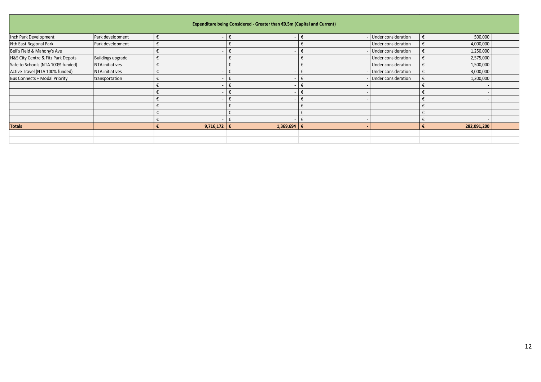| Inch Park Development                | Park development         | $\boldsymbol{\epsilon}$ | $-\epsilon$              |                         | $\boldsymbol{\epsilon}$ | Under consideration | $\boldsymbol{\epsilon}$ | 500,000     |
|--------------------------------------|--------------------------|-------------------------|--------------------------|-------------------------|-------------------------|---------------------|-------------------------|-------------|
| Nth East Regional Park               | Park development         | $\boldsymbol{\epsilon}$ | $\sim$                   | $\epsilon$              | $\epsilon$              | Under consideration | $\boldsymbol{\epsilon}$ | 4,000,000   |
| Bell's Field & Mahony's Ave          |                          | $\epsilon$              |                          | $\epsilon$              | $\epsilon$              | Under consideration | $\boldsymbol{\epsilon}$ | 1,250,000   |
| H&S City Centre & Fitz Park Depots   | <b>Buildings upgrade</b> | $\boldsymbol{\epsilon}$ |                          | $\boldsymbol{\epsilon}$ | €                       | Under consideration | $\boldsymbol{\epsilon}$ | 2,575,000   |
| Safe to Schools (NTA 100% funded)    | NTA initiatives          | $\boldsymbol{\epsilon}$ | $\overline{\phantom{a}}$ | $\boldsymbol{\epsilon}$ | €                       | Under consideration | $\boldsymbol{\epsilon}$ | 1,500,000   |
| Active Travel (NTA 100% funded)      | NTA initiatives          | $\pmb{\epsilon}$        | $\overline{\phantom{a}}$ | $\boldsymbol{\epsilon}$ | €                       | Under consideration | $\boldsymbol{\epsilon}$ | 3,000,000   |
| <b>Bus Connects + Modal Priority</b> | transportation           | $\boldsymbol{\epsilon}$ | $\overline{\phantom{a}}$ | $\boldsymbol{\epsilon}$ | $\epsilon$              | Under consideration | $\boldsymbol{\epsilon}$ | 1,200,000   |
|                                      |                          | $\pmb{\epsilon}$        | $\overline{\phantom{a}}$ | $\epsilon$              | $\epsilon$              |                     | $\boldsymbol{\epsilon}$ |             |
|                                      |                          | $\boldsymbol{\epsilon}$ | $\overline{\phantom{a}}$ | $\epsilon$              | $\epsilon$              |                     | $\epsilon$              | $\sim$      |
|                                      |                          | €                       | $\sim$                   | $\epsilon$              | $\epsilon$              |                     | €                       | $\sim$      |
|                                      |                          | €                       | $\overline{\phantom{a}}$ | $\epsilon$              | €                       |                     | €                       | $\sim$      |
|                                      |                          | €                       | $\blacksquare$           | $\epsilon$              | €                       |                     | €                       | $\sim$      |
|                                      |                          | €                       | $\overline{\phantom{a}}$ | $\epsilon$              | $\epsilon$              |                     | €                       |             |
| <b>Totals</b>                        |                          | €                       | 9,716,172 €              | 1,369,694               | $\epsilon$              |                     | €                       | 282,091,200 |
|                                      |                          |                         |                          |                         |                         |                     |                         |             |
|                                      |                          |                         |                          |                         |                         |                     |                         |             |
|                                      |                          |                         |                          |                         |                         |                     |                         |             |
|                                      |                          |                         |                          |                         |                         |                     |                         |             |
|                                      |                          |                         |                          |                         |                         |                     |                         |             |
|                                      |                          |                         |                          |                         |                         |                     |                         |             |
|                                      |                          |                         |                          |                         |                         |                     |                         |             |
|                                      |                          |                         |                          |                         |                         |                     |                         |             |
|                                      |                          |                         |                          |                         |                         |                     |                         |             |
|                                      |                          |                         |                          |                         |                         |                     |                         |             |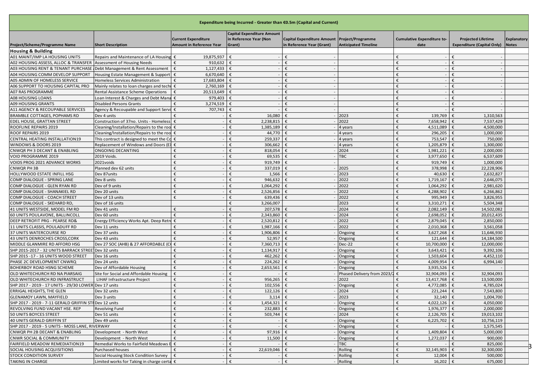| Expenditure being Incurred - Greater than €0.5m (Capital and Current)                                    |                                                    |                                                               |                                                                       |                                                                             |                             |                                           |                                                                |                             |  |
|----------------------------------------------------------------------------------------------------------|----------------------------------------------------|---------------------------------------------------------------|-----------------------------------------------------------------------|-----------------------------------------------------------------------------|-----------------------------|-------------------------------------------|----------------------------------------------------------------|-----------------------------|--|
|                                                                                                          | <b>Short Description</b>                           | <b>Current Expenditure</b><br><b>Amount in Reference Year</b> | <b>Capital Expenditure Amount</b><br>in Reference Year (Non<br>Grant) | Capital Expenditure Amount   Project/Programme<br>in Reference Year (Grant) | <b>Anticipated Timeline</b> | <b>Cumulative Expenditure to-</b><br>date | <b>Projected Lifetime</b><br><b>Expenditure (Capital Only)</b> | <b>Explanatory</b><br>Notes |  |
| Project/Scheme/Programme Name                                                                            |                                                    |                                                               |                                                                       |                                                                             |                             |                                           |                                                                |                             |  |
| <b>Housing &amp; Building</b>                                                                            | Repairs and Maintenance of LA Housing €            |                                                               | $\epsilon$                                                            | $\epsilon$                                                                  |                             | €                                         | €                                                              |                             |  |
| A01 MAINT/IMP LA HOUSING UNITS                                                                           |                                                    | 19,875,937<br>€                                               |                                                                       |                                                                             |                             | €                                         | €                                                              |                             |  |
| A02 HOUSING ASSESS, ALLOC & TRANSFER                                                                     | Assessment of Housing Needs                        | 910,632<br>$\epsilon$                                         |                                                                       |                                                                             |                             | €                                         | €                                                              |                             |  |
| A03 HOUSING RENT & TENANT PURCHASE Debt Management & Rent Assessment<br>A04 HOUSING COMM DEVELOP SUPPORT | Housing Estate Management & Support                | 1,127,433<br>6,670,640                                        |                                                                       | €                                                                           |                             | €                                         | €                                                              |                             |  |
|                                                                                                          | Homeless Services Administration                   |                                                               |                                                                       |                                                                             |                             | €                                         | €                                                              |                             |  |
| A05 ADMIN OF HOMELESS SERVICE<br>A06 SUPPORT TO HOUSING CAPITAL PRO                                      | Mainly relates to loan charges and techr           | 17,683,804<br>€<br>€<br>2,760,169                             |                                                                       |                                                                             |                             | €                                         | €                                                              |                             |  |
| A07 RAS PROGRAMME                                                                                        | Rental Assistance Scheme Operations                | 20,513,649                                                    | €.                                                                    | $\epsilon$                                                                  |                             | €                                         | €                                                              |                             |  |
| A08 HOUSING LOANS                                                                                        | Loan Interest & Charges and Debt Mana              | 979,403<br>€                                                  | $\epsilon$                                                            | $\epsilon$                                                                  |                             | €                                         | €                                                              |                             |  |
| A09 HOUSING GRANTS                                                                                       | <b>Disabled Persons Grants</b>                     | 3,274,519<br>€                                                | €                                                                     | €                                                                           |                             | €                                         | €                                                              |                             |  |
| A11 AGENCY & RECOUPABLE SERVICES                                                                         | Agency & Recoupable and Support Servi              | 707,743<br>€                                                  | €                                                                     | $\epsilon$                                                                  |                             | €                                         | €                                                              |                             |  |
| BRAMBLE COTTAGES, POPHAMS RD                                                                             | Dev 4 units                                        | €                                                             | 16,080<br>$\epsilon$                                                  | €                                                                           | 2023                        | €<br>139,769                              | €<br>1,310,563                                                 |                             |  |
| EDEL HOUSE, GRATTAN STREET                                                                               | Construction of 37no. Units - Homeless             | €                                                             | 2,238,815<br>$\epsilon$                                               | $\epsilon$                                                                  | 2022                        | 7,658,942<br>€                            | 7,537,429<br>€                                                 |                             |  |
| ROOFLINE REPAIRS 2019                                                                                    | Cleaning/Installation/Repairs to the roo           | €                                                             | 1,385,189<br>€.                                                       | €                                                                           | 4 years                     | 4,511,089<br>€                            | 4,500,000<br>€                                                 |                             |  |
| ROOF REPAIRS 2019                                                                                        | Cleaning/Installation/Repairs to the roo           |                                                               | 44,770<br>€                                                           |                                                                             | 4 years                     | 296,205<br>€                              | 1,000,000<br>€                                                 |                             |  |
| CENTRAL HEATING INSTALLATION19                                                                           | This contract is designed to meet the Co           | €                                                             | 259,337<br>$\mathbf{f}$                                               | €                                                                           | 4 years                     | 753,547<br>€                              | $\epsilon$<br>750,000                                          |                             |  |
| WINDOWS & DOORS 2019                                                                                     | Replacement of Windows and Doors (E                |                                                               | 306,662                                                               |                                                                             | 4 years                     | 1,205,879<br>€                            | €<br>1,300,000                                                 |                             |  |
| CNWQR PH 3 DECANT & ENABLING                                                                             | ONGOING DECANTING                                  | $\epsilon$                                                    | 818,054<br>$\mathbf{f}$                                               | €                                                                           | 2024                        | 1,981,221<br>€                            | €<br>2,000,000                                                 |                             |  |
| VOID PROGRAMME 2019                                                                                      | 2019 Voids.                                        | €                                                             | 69,535<br>£                                                           |                                                                             | TBC                         | 3,977,650<br>€                            | 6,537,609<br>€                                                 |                             |  |
| VOIDS PROG 2021 ADVANCE WORKS                                                                            | 2021voids                                          | €                                                             | 919,749<br>€                                                          | €                                                                           |                             | €<br>919,749                              | 1,000,000<br>$\epsilon$                                        |                             |  |
| CNWQR PH 3B                                                                                              | Planned dev 62 units                               | €                                                             | 337,019<br>£                                                          |                                                                             | 2025                        | 378,998<br>€                              | 22,228,906<br>$\epsilon$                                       |                             |  |
| HOLLYWOOD ESTATE INFILL HSG                                                                              | Dev 87units                                        | €                                                             | $\mathbf{f}$<br>1,566                                                 | $\epsilon$                                                                  | 2023                        | €<br>40,630                               | 2,632,827<br>€                                                 |                             |  |
| COMP DIALOGUE - SPRING LANE                                                                              | Dev 8 units                                        | €                                                             | 946,632<br>€                                                          | €                                                                           | 2022                        | 1,719,167<br>€                            | 2,646,075<br>$\epsilon$                                        |                             |  |
| COMP DIALOGUE - GLEN RYAN RD                                                                             | Dev of 9 units                                     | €                                                             | 1,064,292<br>€                                                        |                                                                             | 2022                        | €<br>1,064,292                            | 2,981,620<br>€                                                 |                             |  |
| COMP DIALOGUE - SHANAKIEL RD                                                                             | Dev 20 units                                       | €                                                             | 2,526,856<br>€                                                        |                                                                             | 2022                        | 4,288,902<br>€                            | 6,266,862<br>$\epsilon$                                        |                             |  |
|                                                                                                          |                                                    | €                                                             | €                                                                     |                                                                             |                             | €                                         | €                                                              |                             |  |
| COMP DIALOGUE - COACH STREET                                                                             | Dev of 13 units                                    |                                                               | 639,436                                                               |                                                                             | 2022                        | 995,949<br>€                              | 3,826,955<br>€                                                 |                             |  |
| COMP DIALOGUE - SKEHARD RD,                                                                              | Dev of 16 units                                    | $\epsilon$                                                    | 3,266,007<br>207,578                                                  |                                                                             | 2023<br>2024                | 3,310,271<br>€<br>2,082,149               | 5,504,348                                                      |                             |  |
| 41 UNITS WESTSIDE, MODEL FM RD                                                                           | Dev 41 units                                       | $\epsilon$                                                    | €                                                                     |                                                                             | 2024                        |                                           | 14,502,082<br>$\epsilon$                                       |                             |  |
| 60 UNITS POULAVONE, BALLINCOLL                                                                           | Dev 60 units                                       | €                                                             | 2,343,860<br>2,520,812<br>€                                           |                                                                             | 2022                        | 2,698,052<br>€<br>€                       | 20,012,435<br>€                                                |                             |  |
| DEEP RETROFIT PRG - PEARSE RD&                                                                           | Energy Efficiency Works Apt. Deep Retr             |                                                               | €                                                                     | €                                                                           | 2022                        | 2,879,045                                 | 2,850,000                                                      |                             |  |
| 11 UNITS CLASSIS, POULADUFF RD                                                                           | Dev 11 units                                       | €                                                             | 1,987,166                                                             |                                                                             |                             | 2,010,368<br>€                            | 3,561,058<br>€                                                 |                             |  |
| 37 UNITS WATERCOURSE RD                                                                                  | Dev 37 units                                       | €                                                             | 1,906,806<br>€<br>$\epsilon$                                          |                                                                             | Ongoing                     | 3,627,268<br>€                            | 11,646,930<br>$\epsilon$                                       |                             |  |
| 43 UNITS DENROCHES CROSS, CORK                                                                           | Dev 43 units                                       | €                                                             | 52,957<br>7,360,713<br>$\epsilon$                                     | €<br>$\epsilon$                                                             | Ongoing                     | 121,644<br>€<br>€                         | $\epsilon$<br>14,184,500<br>€                                  |                             |  |
| MIDDLE GLANMIRE RD AFFORD HSG                                                                            | Dev 27 SOC (AHB) & 27 AFFORDABLE (C                |                                                               | $\epsilon$                                                            |                                                                             | <b>Dec-22</b>               | 10,700,000                                | 12,000,000                                                     |                             |  |
| SHP 2015-2017 - 32 UNITS BARRACK STREE Dev 32 units                                                      |                                                    | €                                                             | 1,134,917<br>$\mathbf{f}$                                             | €<br>$\epsilon$                                                             | Ongoing                     | 3,643,421 $\epsilon$<br>€<br>€            | 9,392,106                                                      |                             |  |
| SHP 2015 -17 - 16 UNITS WOOD STREET                                                                      | Dev 16 units                                       | €                                                             | 462,262<br>$\epsilon$                                                 |                                                                             | Ongoing                     | 1,503,604                                 | €<br>4,452,110                                                 |                             |  |
| PHASE 2C DEVELOPMENT CNWRQ                                                                               | Dev 24 units                                       | €                                                             | 224,262<br>$\mathbf{f}$                                               | €                                                                           | Ongoing                     | 4,009,954 €<br>€<br>€                     | 6,994,140                                                      |                             |  |
| BOHERBOY ROAD HSNG SCHEME                                                                                | Dev of Affordable Housing                          | €                                                             | 2,653,561<br>$\mathbf{f}$                                             |                                                                             | Ongoing                     | 3,935,526                                 | €                                                              |                             |  |
| OLD WHITECHURCH RD NA PIARSAIG                                                                           | Site for Social and Affordable Housing             | €<br>€                                                        |                                                                       | €                                                                           | Phased Delivery from 2023/2 | 32,904,093<br>€<br>€                      | €<br>32,904,093                                                |                             |  |
| OLD WHITECHURCH RD INFRASTRUCT                                                                           | LIHAF Infrastructure Project                       |                                                               | 956,265<br>£                                                          |                                                                             | 2022                        | 13,417,768                                | €<br>13,500,000                                                |                             |  |
| SHP 2017 - 2019 - 17 UNITS - 29/30 LOWER                                                                 | Dev 17 units                                       | €                                                             | 102,556                                                               | €                                                                           | Ongoing                     | 4,772,085<br>€                            | 4,785,024<br>$\epsilon$                                        |                             |  |
| ERRIGAL HEIGHTS, THE GLEN                                                                                | Dev 32 units                                       | €                                                             | 122,126                                                               |                                                                             | 2024                        | 221,244<br>€                              | 7,543,800                                                      |                             |  |
| GLENAMOY LAWN, MAYFIELD                                                                                  | Dev 3 units                                        | $\epsilon$                                                    | $\mathbf{f}$<br>3,114                                                 | €                                                                           | 2023                        | 32,140<br>€                               | €<br>1,004,700                                                 |                             |  |
| SHP 2017 - 2019 - 7-11 GERALD GRIFFIN STI Dev 12 units                                                   |                                                    |                                                               | €<br>1,454,321 €                                                      |                                                                             | Ongoing                     | $4,022,126$ €<br>€                        | 4,050,000                                                      |                             |  |
| REVOLVING FUND VACANT HSE. REP                                                                           | <b>Revolving Fund</b>                              | $\epsilon$                                                    | €<br>232,883 $\epsilon$                                               |                                                                             | Ongoing                     | €<br>$1,976,377$ €                        | 2,000,000                                                      |                             |  |
| 50 UNITS BOYCES STREET                                                                                   | Dev 51 units                                       | €                                                             | 503,744 €<br>€                                                        |                                                                             | 2024                        | $2,126,705$ €<br>€                        | 19,013,102                                                     |                             |  |
| 40 UNITS GERALD GRIFFIN ST                                                                               | Dev 49 units                                       | €                                                             | €                                                                     | €                                                                           | Ongoing                     | €<br>$6,225,702$ €                        | 10,756,119                                                     |                             |  |
| SHP 2017 - 2019 - 5 UNITS - MOSS LANE, RIVERWAY                                                          |                                                    | €                                                             | €                                                                     | €                                                                           | Ongoing                     | €                                         | 1,575,545<br>€                                                 |                             |  |
| CNWQR PH 2B DECANT & ENABLING                                                                            | Development - North West                           | €                                                             | $\mathbf{f}$<br>97,916 €                                              |                                                                             | Ongoing                     | €<br>1,409,804 €                          | 5,000,000                                                      |                             |  |
| <b>CNWR SOCIAL &amp; COMMUNITY</b>                                                                       | Development - North West                           | €                                                             | 11,500 $\epsilon$<br>€                                                |                                                                             | Ongoing                     | €<br>1,272,037 €                          | 900,000                                                        |                             |  |
| FAIRFIELD MEADOW REMEDIATION19                                                                           | Remedial Works to Fairfield Meadows E              | €                                                             | €                                                                     | €                                                                           | <b>TBC</b>                  | €                                         | €<br>825,000                                                   |                             |  |
| SOCIAL HOUSING ACQUISITIONS                                                                              | Purchased houses                                   |                                                               | 22,619,046 €<br>€                                                     |                                                                             | Rolling                     | €<br>32,145,903 €                         | 32,300,000                                                     |                             |  |
| STOCK CONDITION SURVEY                                                                                   | Social Housing Stock Condition Survey              | €                                                             | €                                                                     | €                                                                           | Rolling                     | €<br>$12,004$ €                           | 500,000                                                        |                             |  |
| TAKING IN CHARGE                                                                                         | imited works for Taking in charge certa $\epsilon$ |                                                               | €                                                                     | $\epsilon$                                                                  | Rolling                     | 16,202 €<br>€                             | 675,000                                                        |                             |  |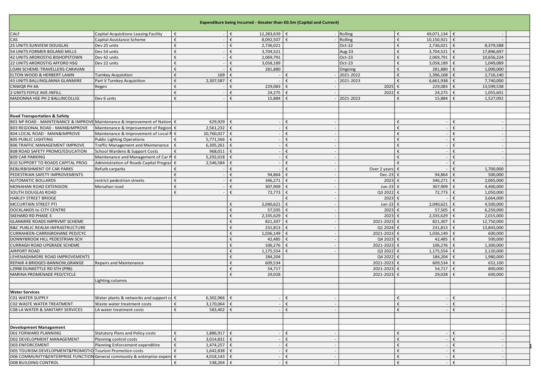|                                                                           |                                              |                           | Expenditure being Incurred - Greater than €0.5m (Capital and Current) |   |                      |                      |                                      |  |
|---------------------------------------------------------------------------|----------------------------------------------|---------------------------|-----------------------------------------------------------------------|---|----------------------|----------------------|--------------------------------------|--|
| CALF                                                                      | Capital Acquisitions Leasing Facility        | €                         | 12,283,639 €                                                          |   | Rolling              | 49,071,134 €<br>€    |                                      |  |
| CAS                                                                       | Capital Assistance Scheme                    | €                         | 8,092,507<br>$\epsilon$                                               | € | Rolling              | 10,150,921<br>€      | €                                    |  |
| 25 UNITS SUNVIEW DOUGLAS                                                  | Dev 25 units                                 | €                         | €<br>2,736,021                                                        |   | Oct-22               | €<br>2,736,021       | 8,379,588                            |  |
| 54 UNITS FORMER BOLAND MILLS                                              | Dev 54 units                                 | €                         | 3,704,521                                                             |   | Aug-23               | €<br>3,704,521       | 17,896,697<br>$\epsilon$             |  |
| 42 UNITS ARDROSTIG BISHOPSTOWN                                            | Dev 42 units                                 |                           | 2,069,791                                                             |   | Oct-23               | 2,069,791            | 10,656,224                           |  |
| 22 UNITS ARDROSTIG AFFORD HSG                                             | Dev 22 units                                 |                           | 3,058,189                                                             |   | Oct-23               | 3,058,189<br>€       | 1,049,089                            |  |
| LOAN SCHEME-TRAVELLERS-CARAVAN                                            |                                              |                           | 281,880                                                               |   | Ongoing              | 281,880<br>€         | 1,000,000                            |  |
| ELTON WOOD & HERBERT LAWN                                                 | Turnkey Acquisition                          | 169                       |                                                                       |   | 2021-2022            | 1,396,168<br>€       | 2,716,140                            |  |
| 43 UNITS BALLINGLANNA GLANMIRE                                            | Part V Turnkey Acquisition                   | 2,307,587<br>€            |                                                                       |   | 2021-2023            | 6,661,938<br>€       | 7,740,000                            |  |
| CNWQR PH 4A                                                               | Regen                                        | €                         | 229,083<br>€                                                          | € | 2025                 | 229,083<br>€         | 13,599,538<br>€                      |  |
| 2 UNITS FOYLE AVE-INFILL                                                  |                                              | €                         | 24,275<br>€                                                           |   | 2022                 | 24,275               | 1,055,601                            |  |
| MADONNA HSE PH 2 BALLINCOLLIG                                             | Dev 6 units                                  | €                         | 15,884<br>€                                                           |   | 2021-2023            | 15,884               | 1,527,092                            |  |
|                                                                           |                                              |                           |                                                                       |   |                      |                      |                                      |  |
| <b>Road Transportation &amp; Safety</b>                                   |                                              |                           |                                                                       | € |                      |                      |                                      |  |
| B01 NP ROAD - MAINTENANCE & IMPROVE Maintenance & Improvement of Nation € |                                              | 629,929                   | $\epsilon$                                                            |   |                      | €                    | €                                    |  |
| B03 REGIONAL ROAD - MAIN&IMPROVE                                          | Maintenance & Improvement of Region €        | 2,561,232                 |                                                                       | € |                      |                      |                                      |  |
| B04 LOCAL ROAD - MAIN&IMPROVE                                             | Maintenance & Improvement of Local R         | 20,760,027<br>€<br>€      | €                                                                     | € |                      | €<br>€               | $\epsilon$                           |  |
| <b>B05 PUBLIC LIGHTING</b>                                                | <b>Public Lighting Operations</b>            | 5,771,566                 |                                                                       | € |                      | €                    | €<br>€                               |  |
| <b>B06 TRAFFIC MANAGEMENT IMPROVE</b>                                     | <b>Traffic Management and Maintenance</b>    | €<br>6,305,261            | €<br>€                                                                | € |                      | €                    |                                      |  |
| <b>B08 ROAD SAFETY PROMO/EDUCATION</b>                                    | School Wardens & Support Costs               | 968,011                   |                                                                       |   |                      |                      | €                                    |  |
| <b>B09 CAR PARKING</b>                                                    | Maintenance and Management of Car P €        | 5,292,018                 |                                                                       | £ |                      | €                    |                                      |  |
| <b>B10 SUPPORT TO ROADS CAPITAL PROG</b>                                  | Administration of Roads Capital Progran      | 2,546,584<br>€            |                                                                       |   |                      | €                    | €                                    |  |
| REBURBISHMENT OF CAR PARKS                                                | Refurb carparks                              |                           |                                                                       |   | Over 2 years         |                      | 1,700,000                            |  |
| PEDESTRIAN SAFETY IMPROVEMENTS                                            |                                              |                           | 94,864                                                                |   | <b>Dec-23</b>        | 94,864               | 500,000                              |  |
| <b>AUTOMATIC BOLLARDS</b>                                                 | estrict pedestrian streets                   | €                         | 346,271                                                               |   | 2023                 | 346,271              | 2,065,000                            |  |
| MONAHAN ROAD EXTENSION                                                    | Monahan road                                 | €                         | 307,909<br>€                                                          |   | Jun-23               | 307,909              | 4,400,000<br>€                       |  |
| SOUTH DOUGLAS ROAD                                                        |                                              |                           | 72,773<br>€                                                           |   | Q3 2022              | 72,773               | 1,050,000                            |  |
| HARLEY STREET BRIDGE                                                      |                                              |                           | 2,040,621<br>€                                                        | € | 2023                 | €<br>2,040,621       | 3,664,000<br>€<br>4,500,000          |  |
| MCCURTAIN STREET PTI                                                      |                                              |                           | €                                                                     |   | Jun-23<br>2023       |                      |                                      |  |
| DOCKLANDS to CITY CENTRE                                                  |                                              |                           | 57,505<br>€                                                           |   |                      | 57,505               | 6,250,000                            |  |
| <b>SKEHARD RD PHASE 3</b>                                                 |                                              |                           | 2,335,629<br>€                                                        |   | 2023                 | 2,335,629<br>821,307 | 2,015,000<br>€                       |  |
| GLANMIRE ROADS IMPRVMT SCHEME                                             |                                              |                           | 821,307                                                               |   | 2021-2023            | 231,813              | 12,750,000                           |  |
| <b>B&amp;C PUBLIC REALM-INFRASTRUCTURE</b>                                |                                              |                           | 231,813<br>€                                                          |   | Q1 2024              |                      | 13,843,000                           |  |
| CURRAHEEN-CARRIGROHANE PED/CYC<br>DONNYBROOK HILL PEDESTRIAN SCH          |                                              |                           | 1,036,149<br>42,485<br>€                                              |   | 2021-2023<br>Q4 2023 | 1,036,149<br>42,485  | 600,000<br>500,000                   |  |
|                                                                           |                                              |                           | £                                                                     |   |                      |                      | €                                    |  |
| CURRAGH ROAD UPGRADE SCHEME<br><b>AIRPORT ROAD</b>                        |                                              |                           | 106,276<br>1,175,554<br>€                                             |   | 2021-2023<br>Q3 2022 | 106,276<br>1,175,554 | 1,300,000<br>2,120,000<br>$\epsilon$ |  |
| LEHENAGHMORE ROAD IMPROVEMENTS                                            |                                              |                           | €<br>184,204                                                          |   | Q4 2022              | 184,204              | 1,980,000                            |  |
| REPAIR 4 BRIDGES-BANNOW, GRANGE                                           | <b>Repairs and Maintenance</b>               |                           | €<br>609,534                                                          |   | 2021-2023            | 609,534              | 652,100                              |  |
| L2998 DUNKETTLE RD STH (P9B)                                              |                                              |                           | €<br>54,717                                                           |   | 2021-2023            | 54,717               | 800,000                              |  |
| MARINA PROMENADE PED/CYCLE                                                |                                              |                           | €<br>29,028                                                           |   | 2021-2023            | 29,028               | 600,000                              |  |
|                                                                           | Lighting columns                             |                           |                                                                       |   |                      |                      |                                      |  |
|                                                                           |                                              |                           |                                                                       |   |                      |                      |                                      |  |
| <b>Water Services</b>                                                     |                                              |                           |                                                                       |   |                      |                      |                                      |  |
| <b>C01 WATER SUPPLY</b>                                                   | Water plants & networks and support $cd \in$ | $6,302,966$ €             |                                                                       | € |                      | €                    | €                                    |  |
| <b>CO2 WASTE WATER TREATMENT</b>                                          | Waste water treatment costs                  | 3,170,064 $\epsilon$<br>€ |                                                                       |   |                      |                      |                                      |  |
| CO8 LA WATER & SANITARY SERVICES                                          | LA water treatment costs                     | 583,402<br>€              | I€                                                                    | € |                      | €                    | €                                    |  |
|                                                                           |                                              |                           |                                                                       |   |                      |                      |                                      |  |
| <b>Development Management</b>                                             |                                              |                           |                                                                       |   |                      |                      |                                      |  |
| <b>D01 FORWARD PLANNING</b>                                               | <b>Statutory Plans and Policy costs</b>      | €<br>$1,886,917$ €        |                                                                       | € |                      | €                    | €                                    |  |
| D02 DEVELOPMENT MANAGEMENT                                                | Planning control costs                       | €<br>3,014,831            | €                                                                     | € |                      | €                    | €                                    |  |
| <b>D03 ENFORCEMENT</b>                                                    | Planning Enforcement expenditire             | €<br>1,474,257            | ∣€                                                                    | € |                      | €                    | €                                    |  |
| D05 TOURISM DEVELOPMENT&PROMOTIO Tourism Promotion costs                  |                                              | 1,642,838<br>€            | €                                                                     | € |                      |                      | €                                    |  |
| DO6 COMMUNITY&ENTERPRISE FUNCTION General community & enterprise expens € |                                              | 4,018,143                 | €                                                                     | € |                      | €                    | €                                    |  |
| <b>D08 BUILDING CONTROL</b>                                               |                                              | 538,204 €<br>€            |                                                                       | € |                      | €                    | €                                    |  |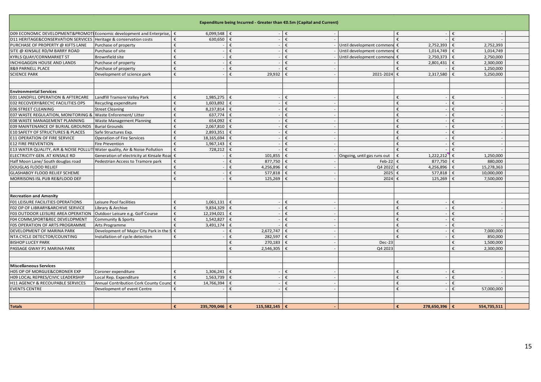|                                                                                           |                                             |                      |                        | Expenditure being Incurred - Greater than €0.5m (Capital and Current) |                  |                             |                    |                          |  |
|-------------------------------------------------------------------------------------------|---------------------------------------------|----------------------|------------------------|-----------------------------------------------------------------------|------------------|-----------------------------|--------------------|--------------------------|--|
| D09 ECONOMIC DEVELOPMENT&PROMOT Economic development and Enterprise,                      |                                             | €                    | 6,099,548              | €                                                                     | €                |                             |                    | €                        |  |
| D11 HERITAGE&CONSERVATION SERVICES Heritage & conservation costs                          |                                             | €                    | 630,650                | $\epsilon$                                                            | €                |                             | €                  | €                        |  |
| PURCHASE OF PROPERTY @ KIFTS LANE                                                         | Purchase of property                        | f                    |                        | €                                                                     | €                | Until development commend   | 2,752,393<br>€     | 2,752,393                |  |
| SITE @ KINSALE RD/M BARRY ROAD                                                            | Purchase of site                            |                      |                        |                                                                       |                  | Until development commend € | 1,014,749          | 1,014,749                |  |
| <b>KYRLS QUAY/CORNMARKET ST</b>                                                           | Brownfield site                             |                      |                        |                                                                       |                  | Until development commen    | 2,750,373          | 2,750,000                |  |
| INCHIGAGGIN HOUSE AND LANDS                                                               | Purchase of property                        |                      |                        | £                                                                     | €                |                             | 2,801,431          | 2,300,000                |  |
| 8&9 PARNELL PLACE                                                                         | Purchase of property                        | €                    |                        | €                                                                     |                  |                             |                    | 1,250,000                |  |
| <b>SCIENCE PARK</b>                                                                       | Development of science park                 | £                    |                        | 29,932                                                                |                  | 2021-2024                   | 2,317,580<br>€     | 5,250,000                |  |
|                                                                                           |                                             |                      |                        |                                                                       |                  |                             |                    |                          |  |
| <b>Environmental Services</b>                                                             |                                             |                      |                        |                                                                       |                  |                             |                    |                          |  |
|                                                                                           |                                             | £                    |                        |                                                                       | $\epsilon$       |                             | £                  | £                        |  |
| E01 LANDFILL OPERATION & AFTERCARE<br>E02 RECOVERY&RECYC FACILITIES OPS                   | Landfill Tramore Valley Park                | €                    | 1,985,275<br>1,603,892 |                                                                       | €                |                             | £                  | £                        |  |
|                                                                                           | Recycling expenditure                       | €                    |                        |                                                                       | €                |                             | €                  | €                        |  |
| <b>E06 STREET CLEANING</b><br>E07 WASTE REGULATION, MONITORING & Waste Enforement/ Litter | <b>Street Cleaning</b>                      | €                    | 8,237,814<br>637,774   | $\epsilon$                                                            | $\pmb{\epsilon}$ |                             | £                  | £                        |  |
|                                                                                           |                                             | f                    |                        |                                                                       | €                |                             | €                  | $\epsilon$               |  |
| E08 WASTE MANAGEMENT PLANNING                                                             | Waste Management Planning                   | $\epsilon$           | 654,092                |                                                                       | $\pmb{\epsilon}$ |                             | £                  | $\epsilon$               |  |
| E09 MAINTENANCE OF BURIAL GROUNDS                                                         | <b>Burial Grounds</b>                       | €                    | 2,067,810              |                                                                       | €                |                             | €                  | £                        |  |
| E10 SAFETY OF STRUCTURES & PLACES                                                         | Safe Structures Exp.                        |                      | 2,893,351              |                                                                       |                  |                             | £                  |                          |  |
| <b>E11 OPERATION OF FIRE SERVICE</b>                                                      | <b>Operation of Fire Services</b>           | €                    | 18,165,694             |                                                                       | €                |                             |                    | €                        |  |
| <b>E12 FIRE PREVENTION</b>                                                                | Fire Prevention                             | €                    | 1,967,143              | €                                                                     | €                |                             | €<br>£             | €<br>£                   |  |
| E13 WATER QUALITY, AIR & NOISE POLLUTI Water quality, Air & Noise Pollution               |                                             | €                    | 728,212                | €                                                                     | €                |                             |                    |                          |  |
| ELECTRICITY GEN. AT KINSALE RD                                                            | Generation of electricity at Kinsale Road € |                      |                        | 101,855<br>€                                                          |                  | Ongoing, until gas runs out | 1,222,212<br>€     | 1,250,000<br>€           |  |
| Half Moon Lane/ South douglas road                                                        | Pedestrian Access to Tramore park           | €                    |                        | 877,750<br>€                                                          | €                | Feb-22                      | 877,750<br>€       | 880,000<br>$\epsilon$    |  |
| DOUGLAS FLOOD RELIEF                                                                      |                                             | f                    |                        | 4.256.896<br>€                                                        |                  | Q4 2022                     | 4,256,896<br>€     | 15,278,363<br>$\epsilon$ |  |
| <b>GLASHABOY FLOOD RELIEF SCHEME</b>                                                      |                                             | €                    |                        | 577,818<br>f                                                          |                  | 2025                        | 577,818<br>€       | 10,000,000<br>€          |  |
| MORRISONS ISL PUB RE&FLOOD DEF                                                            |                                             | £                    |                        | 125,269<br>€                                                          |                  | 2024                        | 125,269<br>£       | 7,500,000                |  |
|                                                                                           |                                             |                      |                        |                                                                       |                  |                             |                    |                          |  |
| <b>Recreation and Amenity</b>                                                             |                                             |                      |                        |                                                                       |                  |                             |                    |                          |  |
| F01 LEISURE FACILITIES OPERATIONS                                                         | Leisure Pool facilities                     | €                    | 1,061,131              |                                                                       | £                |                             |                    |                          |  |
| F02 OP OF LIBRARY&ARCHIVE SERVICE                                                         | Library & Archive                           | €                    | 9,834,329              |                                                                       |                  |                             |                    |                          |  |
| F03 OUTDOOR LEISURE AREA OPERATION                                                        | Outdoor Leisure e.g. Golf Course            | €<br>12,194,021      |                        |                                                                       | €                |                             | €                  |                          |  |
| F04 COMM, SPORT&REC DEVELOPMENT                                                           | Community & Sports                          | €                    | 1,542,827              |                                                                       |                  |                             |                    |                          |  |
| F05 OPERATION OF ARTS PROGRAMME                                                           | Arts Programme                              | €                    | 3,491,174              |                                                                       |                  |                             | €                  |                          |  |
| DEVELOPMENT OF MARINA PARK                                                                | Development of Major City Park in the S     | $\epsilon$           |                        | 2,672,747                                                             |                  |                             | €                  | 7,000,000                |  |
| NTA CYCLE DETECTOR/COUNTING                                                               | Installation of cycle detection             | €                    |                        | 282,597                                                               |                  |                             | £                  | 850,000                  |  |
| <b>BISHOP LUCEY PARK</b>                                                                  |                                             |                      |                        | 270,183                                                               |                  | $Dec-23$                    |                    | 1,500,000                |  |
| PASSAGE GWAY P1 MARINA PARK                                                               |                                             |                      |                        | €<br>2,546,305                                                        |                  | Q4 2023                     |                    | €<br>2,300,000           |  |
|                                                                                           |                                             |                      |                        |                                                                       |                  |                             |                    |                          |  |
|                                                                                           |                                             |                      |                        |                                                                       |                  |                             |                    |                          |  |
| <b>Miscellaneous Services</b>                                                             |                                             |                      |                        |                                                                       |                  |                             |                    |                          |  |
| H05 OP OF MORGUE&CORONER EXP                                                              | Coroner expenditure                         | €                    | 1,306,241              | €                                                                     | $\pmb{\epsilon}$ |                             | £                  | £                        |  |
| H09 LOCAL REPRES/CIVIC LEADERSHIP                                                         | Local Rep. Expenditure                      | £                    | 1,563,739              |                                                                       | $\epsilon$       |                             | €                  | €                        |  |
| H11 AGENCY & RECOUPABLE SERVICES                                                          | Annual Contribution Cork County Counc       | €<br>14,766,394      |                        |                                                                       | €                |                             | £                  | £                        |  |
| <b>EVENTS CENTRE</b>                                                                      | Development of event Centre                 | €                    |                        | €                                                                     | $\epsilon$       |                             | €                  | 57,000,000<br>€          |  |
|                                                                                           |                                             |                      |                        |                                                                       |                  |                             |                    |                          |  |
|                                                                                           |                                             |                      |                        |                                                                       |                  |                             |                    |                          |  |
| <b>Totals</b>                                                                             |                                             | 235.709.046   €<br>€ |                        | 115.582.145 $\epsilon$                                                |                  |                             | 278.650.396 €<br>€ | 554.735.511              |  |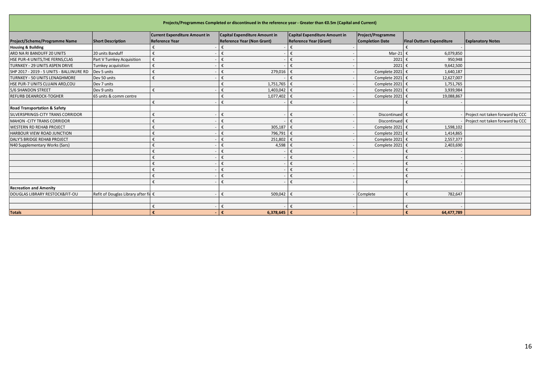| Projects/Programmes Completed or discontinued in the reference year - Greater than €0.5m (Capital and Current)              |                                   |                       |                                   |                               |                        |                                  |                                  |  |  |  |  |
|-----------------------------------------------------------------------------------------------------------------------------|-----------------------------------|-----------------------|-----------------------------------|-------------------------------|------------------------|----------------------------------|----------------------------------|--|--|--|--|
| <b>Current Expenditure Amount in</b><br>Capital Expenditure Amount in<br>Project/Programme<br>Capital Expenditure Amount in |                                   |                       |                                   |                               |                        |                                  |                                  |  |  |  |  |
| Project/Scheme/Programme Name                                                                                               | <b>Short Description</b>          | <b>Reference Year</b> | <b>Reference Year (Non Grant)</b> | <b>Reference Year (Grant)</b> | <b>Completion Date</b> | <b>Final Outturn Expenditure</b> | <b>Explanatory Notes</b>         |  |  |  |  |
| <b>Housing &amp; Building</b>                                                                                               |                                   |                       |                                   |                               |                        |                                  |                                  |  |  |  |  |
| ARD NA RI BANDUFF 20 UNITS                                                                                                  | 20 units Banduff                  |                       |                                   |                               | Mar-21                 | 6,079,850                        |                                  |  |  |  |  |
| HSE PUR-4 UNITS, THE FERNS, CLAS                                                                                            | Part V Turnkey Acquisition        |                       |                                   | ŧ                             | 2021                   | 950,948                          |                                  |  |  |  |  |
| TURNKEY - 29 UNITS ASPEN DRIVE                                                                                              | Turnkey acquiisition              |                       | €                                 | ŧ                             | 2021                   | 9,642,500                        |                                  |  |  |  |  |
| SHP 2017 - 2019 - 5 UNITS - BALLINURE RD                                                                                    | Dev 5 units                       |                       | 279,016                           |                               | Complete 2021          | 1,640,187                        |                                  |  |  |  |  |
| TURNKEY - 50 UNITS LENAGHMORE                                                                                               | Dev 50 units                      |                       | €                                 |                               | Complete 2021          | 12,627,007                       |                                  |  |  |  |  |
| HSE PUR-7 UNITS CLUAIN ARD, COU                                                                                             | Dev 7 units                       |                       | 1,751,765<br>€                    | €                             | Complete 2021          | 1,751,765                        |                                  |  |  |  |  |
| 5/6 SHANDON STREET                                                                                                          | Dev 9 units                       |                       | 1,403,042                         |                               | Complete 2021          | 3,939,984                        |                                  |  |  |  |  |
| <b>REFURB DEANROCK-TOGHER</b>                                                                                               | 65 units & comm centre            |                       | 1,077,402                         |                               | Complete 2021          | 19,088,867                       |                                  |  |  |  |  |
|                                                                                                                             |                                   |                       |                                   |                               |                        |                                  |                                  |  |  |  |  |
| <b>Road Transportation &amp; Safety</b>                                                                                     |                                   |                       |                                   |                               |                        |                                  |                                  |  |  |  |  |
| SILVERSPRINGS-CITY TRANS CORRIDOR                                                                                           |                                   |                       |                                   |                               | Discontinued           |                                  | Project not taken forward by CCC |  |  |  |  |
| MAHON - CITY TRANS CORRIDOR                                                                                                 |                                   |                       | €                                 |                               | Discontinued           |                                  | Project not taken forward by CCC |  |  |  |  |
| <b>WESTERN RD REHAB PROJECT</b>                                                                                             |                                   |                       | 305,187                           |                               | Complete 2021          | 1,598,102                        |                                  |  |  |  |  |
| HARBOUR VIEW ROAD JUNCTION                                                                                                  |                                   |                       | 796,791<br>€                      |                               | Complete 2021          | 1,414,865                        |                                  |  |  |  |  |
| DALY'S BRIDGE REHAB PROJECT                                                                                                 |                                   |                       | 251,802                           |                               | Complete 2021          | 2,557,377                        |                                  |  |  |  |  |
| N40 Supplementary Works (Sars)                                                                                              |                                   |                       | 4,598                             |                               | Complete 2021          | 2,403,690                        |                                  |  |  |  |  |
|                                                                                                                             |                                   |                       | €                                 |                               |                        |                                  |                                  |  |  |  |  |
|                                                                                                                             |                                   |                       | €                                 | €                             |                        |                                  |                                  |  |  |  |  |
|                                                                                                                             |                                   |                       | €                                 |                               |                        |                                  |                                  |  |  |  |  |
|                                                                                                                             |                                   |                       | €                                 |                               |                        |                                  |                                  |  |  |  |  |
|                                                                                                                             |                                   |                       | €                                 | €                             |                        |                                  |                                  |  |  |  |  |
|                                                                                                                             |                                   |                       | €                                 | ŧ                             |                        |                                  |                                  |  |  |  |  |
| <b>Recreation and Amenity</b>                                                                                               |                                   |                       |                                   |                               |                        |                                  |                                  |  |  |  |  |
| DOUGLAS LIBRARY RESTOCK&FIT-OU                                                                                              | Refit of Douglas Library after fi |                       | 509,042<br>€                      | €                             | Complete               | 782,647                          |                                  |  |  |  |  |
|                                                                                                                             |                                   |                       |                                   |                               |                        |                                  |                                  |  |  |  |  |
|                                                                                                                             |                                   |                       | €                                 |                               |                        |                                  |                                  |  |  |  |  |
| <b>Totals</b>                                                                                                               |                                   |                       | 6,378,645<br>€                    | €                             |                        | 64.477.789                       |                                  |  |  |  |  |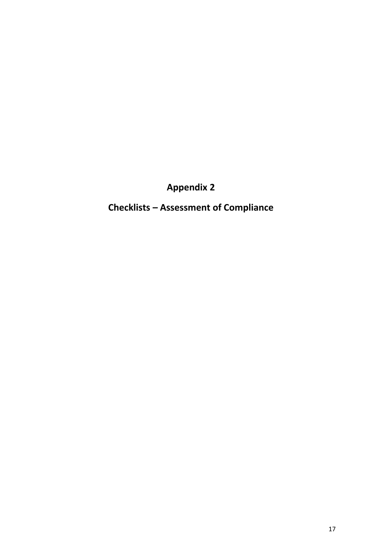**Appendix 2**

**Checklists – Assessment of Compliance**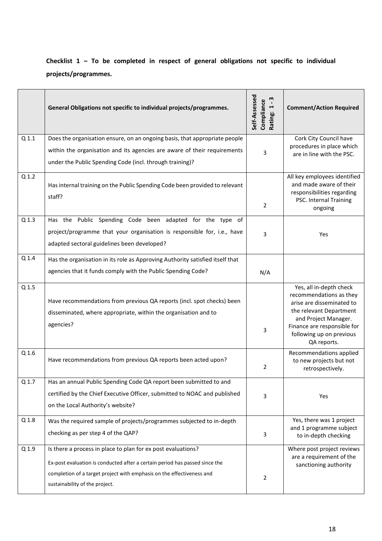## **Checklist 1 – To be completed in respect of general obligations not specific to individual projects/programmes.**

|                  | General Obligations not specific to individual projects/programmes.                                                                                    | Self-Assessed<br>m<br>Compliance<br>$\blacktriangleright$<br>Rating: | <b>Comment/Action Required</b>                                                                                                                                                                               |
|------------------|--------------------------------------------------------------------------------------------------------------------------------------------------------|----------------------------------------------------------------------|--------------------------------------------------------------------------------------------------------------------------------------------------------------------------------------------------------------|
| Q <sub>1.1</sub> | Does the organisation ensure, on an ongoing basis, that appropriate people                                                                             |                                                                      | Cork City Council have                                                                                                                                                                                       |
|                  | within the organisation and its agencies are aware of their requirements<br>under the Public Spending Code (incl. through training)?                   | 3                                                                    | procedures in place which<br>are in line with the PSC.                                                                                                                                                       |
| Q <sub>1.2</sub> | Has internal training on the Public Spending Code been provided to relevant<br>staff?                                                                  | 2                                                                    | All key employees identified<br>and made aware of their<br>responsibilities regarding<br>PSC. Internal Training<br>ongoing                                                                                   |
| Q <sub>1.3</sub> | Has the Public Spending Code been adapted for the type of                                                                                              |                                                                      |                                                                                                                                                                                                              |
|                  | project/programme that your organisation is responsible for, i.e., have<br>adapted sectoral guidelines been developed?                                 | 3                                                                    | Yes                                                                                                                                                                                                          |
| Q <sub>1.4</sub> | Has the organisation in its role as Approving Authority satisfied itself that                                                                          |                                                                      |                                                                                                                                                                                                              |
|                  | agencies that it funds comply with the Public Spending Code?                                                                                           | N/A                                                                  |                                                                                                                                                                                                              |
| Q 1.5            | Have recommendations from previous QA reports (incl. spot checks) been<br>disseminated, where appropriate, within the organisation and to<br>agencies? | 3                                                                    | Yes, all in-depth check<br>recommendations as they<br>arise are disseminated to<br>the relevant Department<br>and Project Manager.<br>Finance are responsible for<br>following up on previous<br>QA reports. |
| Q 1.6            | Have recommendations from previous QA reports been acted upon?                                                                                         | 2                                                                    | Recommendations applied<br>to new projects but not<br>retrospectively.                                                                                                                                       |
| Q 1.7            | Has an annual Public Spending Code QA report been submitted to and                                                                                     |                                                                      |                                                                                                                                                                                                              |
|                  | certified by the Chief Executive Officer, submitted to NOAC and published<br>on the Local Authority's website?                                         | 3                                                                    | Yes                                                                                                                                                                                                          |
| Q <sub>1.8</sub> | Was the required sample of projects/programmes subjected to in-depth                                                                                   |                                                                      | Yes, there was 1 project                                                                                                                                                                                     |
|                  | checking as per step 4 of the QAP?                                                                                                                     | 3                                                                    | and 1 programme subject<br>to in-depth checking                                                                                                                                                              |
| Q 1.9            | Is there a process in place to plan for ex post evaluations?                                                                                           |                                                                      | Where post project reviews                                                                                                                                                                                   |
|                  | Ex-post evaluation is conducted after a certain period has passed since the                                                                            |                                                                      | are a requirement of the<br>sanctioning authority                                                                                                                                                            |
|                  | completion of a target project with emphasis on the effectiveness and                                                                                  | $\overline{2}$                                                       |                                                                                                                                                                                                              |
|                  | sustainability of the project.                                                                                                                         |                                                                      |                                                                                                                                                                                                              |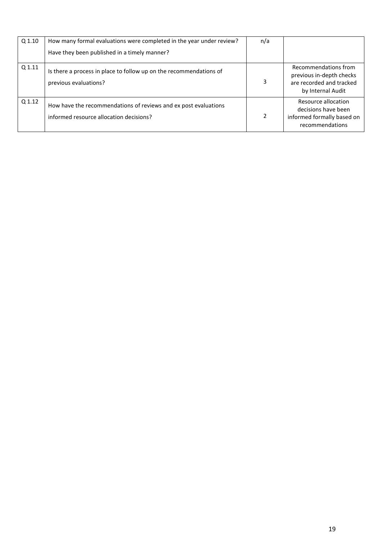| Q 1.10 | How many formal evaluations were completed in the year under review?<br>Have they been published in a timely manner? | n/a |                                                                                                   |
|--------|----------------------------------------------------------------------------------------------------------------------|-----|---------------------------------------------------------------------------------------------------|
|        |                                                                                                                      |     |                                                                                                   |
| Q 1.11 | Is there a process in place to follow up on the recommendations of<br>previous evaluations?                          | 3   | Recommendations from<br>previous in-depth checks<br>are recorded and tracked<br>by Internal Audit |
| Q 1.12 | How have the recommendations of reviews and ex post evaluations<br>informed resource allocation decisions?           |     | Resource allocation<br>decisions have been<br>informed formally based on<br>recommendations       |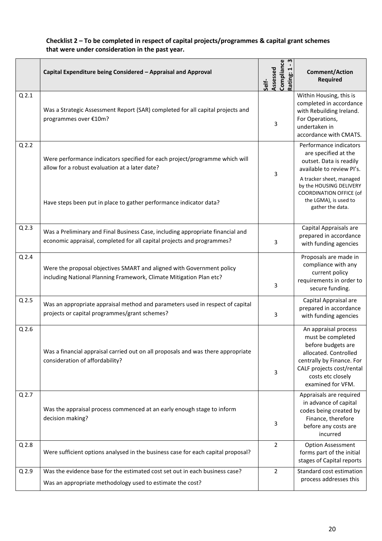#### **Checklist 2 – To be completed in respect of capital projects/programmes & capital grant schemes that were under consideration in the past year.**

|                  | Capital Expenditure being Considered - Appraisal and Approval                                                                                            | m<br>Compliance<br>Assessed<br>Rating:<br>Self- | <b>Comment/Action</b><br><b>Required</b>                                                                                                                                                     |
|------------------|----------------------------------------------------------------------------------------------------------------------------------------------------------|-------------------------------------------------|----------------------------------------------------------------------------------------------------------------------------------------------------------------------------------------------|
| Q <sub>2.1</sub> | Was a Strategic Assessment Report (SAR) completed for all capital projects and<br>programmes over €10m?                                                  | 3                                               | Within Housing, this is<br>completed in accordance<br>with Rebuilding Ireland.<br>For Operations,<br>undertaken in<br>accordance with CMATS.                                                 |
| Q <sub>2.2</sub> | Were performance indicators specified for each project/programme which will<br>allow for a robust evaluation at a later date?                            | 3                                               | Performance indicators<br>are specified at the<br>outset. Data is readily<br>available to review Pl's.                                                                                       |
|                  | Have steps been put in place to gather performance indicator data?                                                                                       |                                                 | A tracker sheet, managed<br>by the HOUSING DELIVERY<br><b>COORDINATION OFFICE (of</b><br>the LGMA), is used to<br>gather the data.                                                           |
| $Q$ 2.3          | Was a Preliminary and Final Business Case, including appropriate financial and<br>economic appraisal, completed for all capital projects and programmes? | 3                                               | Capital Appraisals are<br>prepared in accordance<br>with funding agencies                                                                                                                    |
| $Q$ 2.4          | Were the proposal objectives SMART and aligned with Government policy<br>including National Planning Framework, Climate Mitigation Plan etc?             | 3                                               | Proposals are made in<br>compliance with any<br>current policy<br>requirements in order to<br>secure funding.                                                                                |
| Q <sub>2.5</sub> | Was an appropriate appraisal method and parameters used in respect of capital<br>projects or capital programmes/grant schemes?                           | 3                                               | Capital Appraisal are<br>prepared in accordance<br>with funding agencies                                                                                                                     |
| Q <sub>2.6</sub> | Was a financial appraisal carried out on all proposals and was there appropriate<br>consideration of affordability?                                      | 3                                               | An appraisal process<br>must be completed<br>before budgets are<br>allocated. Controlled<br>centrally by Finance. For<br>CALF projects cost/rental<br>costs etc closely<br>examined for VFM. |
| $Q$ 2.7          | Was the appraisal process commenced at an early enough stage to inform<br>decision making?                                                               | 3                                               | Appraisals are required<br>in advance of capital<br>codes being created by<br>Finance, therefore<br>before any costs are<br>incurred                                                         |
| Q <sub>2.8</sub> | Were sufficient options analysed in the business case for each capital proposal?                                                                         | 2                                               | <b>Option Assessment</b><br>forms part of the initial<br>stages of Capital reports                                                                                                           |
| $Q$ 2.9          | Was the evidence base for the estimated cost set out in each business case?<br>Was an appropriate methodology used to estimate the cost?                 | $\overline{2}$                                  | Standard cost estimation<br>process addresses this                                                                                                                                           |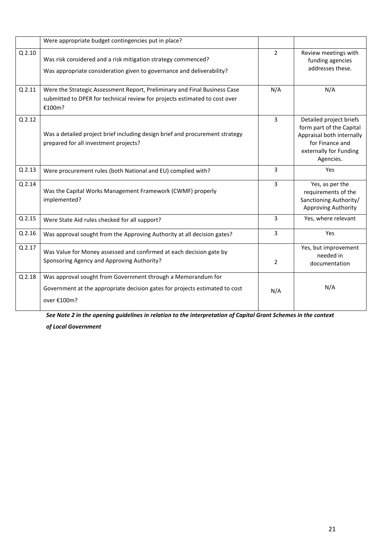|          | Were appropriate budget contingencies put in place?                                                                                                               |                |                                                                                                                                            |
|----------|-------------------------------------------------------------------------------------------------------------------------------------------------------------------|----------------|--------------------------------------------------------------------------------------------------------------------------------------------|
| $Q$ 2.10 | Was risk considered and a risk mitigation strategy commenced?<br>Was appropriate consideration given to governance and deliverability?                            | $\overline{2}$ | Review meetings with<br>funding agencies<br>addresses these.                                                                               |
| $Q$ 2.11 | Were the Strategic Assessment Report, Preliminary and Final Business Case<br>submitted to DPER for technical review for projects estimated to cost over<br>€100m? | N/A            | N/A                                                                                                                                        |
| $Q$ 2.12 | Was a detailed project brief including design brief and procurement strategy<br>prepared for all investment projects?                                             | 3              | Detailed project briefs<br>form part of the Capital<br>Appraisal both internally<br>for Finance and<br>externally for Funding<br>Agencies. |
| Q 2.13   | Were procurement rules (both National and EU) complied with?                                                                                                      | 3              | Yes                                                                                                                                        |
| Q 2.14   | Was the Capital Works Management Framework (CWMF) properly<br>implemented?                                                                                        | $\overline{3}$ | Yes, as per the<br>requirements of the<br>Sanctioning Authority/<br><b>Approving Authority</b>                                             |
| Q 2.15   | Were State Aid rules checked for all support?                                                                                                                     | 3              | Yes, where relevant                                                                                                                        |
| Q 2.16   | Was approval sought from the Approving Authority at all decision gates?                                                                                           | 3              | Yes                                                                                                                                        |
| Q 2.17   | Was Value for Money assessed and confirmed at each decision gate by<br>Sponsoring Agency and Approving Authority?                                                 | $\overline{2}$ | Yes, but improvement<br>needed in<br>documentation                                                                                         |
| $Q$ 2.18 | Was approval sought from Government through a Memorandum for<br>Government at the appropriate decision gates for projects estimated to cost<br>over €100m?        | N/A            | N/A                                                                                                                                        |

*See Note 2 in the opening guidelines in relation to the interpretation of Capital Grant Schemes in the context* 

*of Local Government*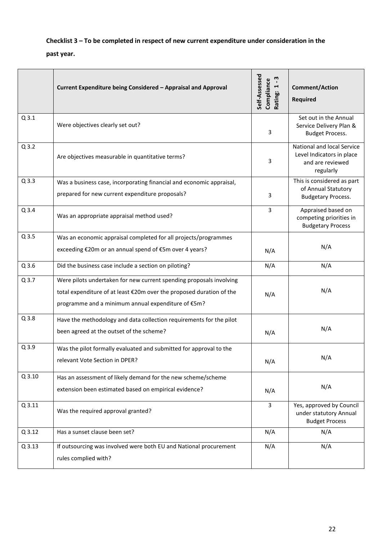## **Checklist 3 – To be completed in respect of new current expenditure under consideration in the past year.**

|          | Current Expenditure being Considered - Appraisal and Approval                                                                                                                                     | Self-Assessed<br>m<br>Compliance<br>Rating: 1-3<br>Rating: | <b>Comment/Action</b><br><b>Required</b>                                                 |
|----------|---------------------------------------------------------------------------------------------------------------------------------------------------------------------------------------------------|------------------------------------------------------------|------------------------------------------------------------------------------------------|
| $Q$ 3.1  | Were objectives clearly set out?                                                                                                                                                                  | 3                                                          | Set out in the Annual<br>Service Delivery Plan &<br><b>Budget Process.</b>               |
| $Q$ 3.2  | Are objectives measurable in quantitative terms?                                                                                                                                                  | 3                                                          | National and local Service<br>Level Indicators in place<br>and are reviewed<br>regularly |
| $Q$ 3.3  | Was a business case, incorporating financial and economic appraisal,                                                                                                                              |                                                            | This is considered as part                                                               |
|          | prepared for new current expenditure proposals?                                                                                                                                                   | 3                                                          | of Annual Statutory<br><b>Budgetary Process.</b>                                         |
| $Q$ 3.4  | Was an appropriate appraisal method used?                                                                                                                                                         | 3                                                          | Appraised based on<br>competing priorities in<br><b>Budgetary Process</b>                |
| $Q$ 3.5  | Was an economic appraisal completed for all projects/programmes                                                                                                                                   |                                                            |                                                                                          |
|          | exceeding €20m or an annual spend of €5m over 4 years?                                                                                                                                            | N/A                                                        | N/A                                                                                      |
| $Q$ 3.6  | Did the business case include a section on piloting?                                                                                                                                              | N/A                                                        | N/A                                                                                      |
| Q 3.7    | Were pilots undertaken for new current spending proposals involving<br>total expenditure of at least €20m over the proposed duration of the<br>programme and a minimum annual expenditure of €5m? | N/A                                                        | N/A                                                                                      |
| $Q$ 3.8  | Have the methodology and data collection requirements for the pilot<br>been agreed at the outset of the scheme?                                                                                   | N/A                                                        | N/A                                                                                      |
| $Q$ 3.9  | Was the pilot formally evaluated and submitted for approval to the<br>relevant Vote Section in DPER?                                                                                              | N/A                                                        | N/A                                                                                      |
| $Q$ 3.10 | Has an assessment of likely demand for the new scheme/scheme<br>extension been estimated based on empirical evidence?                                                                             | N/A                                                        | N/A                                                                                      |
| $Q$ 3.11 | Was the required approval granted?                                                                                                                                                                | 3                                                          | Yes, approved by Council<br>under statutory Annual<br><b>Budget Process</b>              |
| $Q$ 3.12 | Has a sunset clause been set?                                                                                                                                                                     | N/A                                                        | N/A                                                                                      |
| $Q$ 3.13 | If outsourcing was involved were both EU and National procurement<br>rules complied with?                                                                                                         | N/A                                                        | N/A                                                                                      |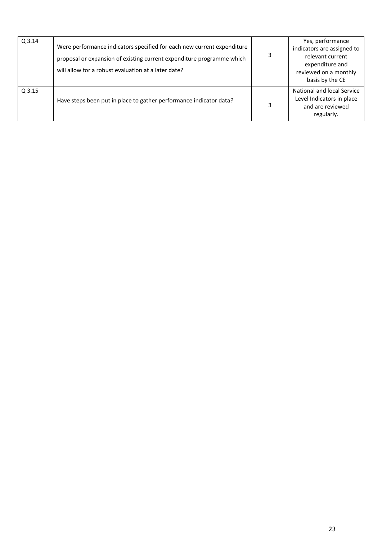| Q 3.14 | Were performance indicators specified for each new current expenditure<br>proposal or expansion of existing current expenditure programme which<br>will allow for a robust evaluation at a later date? | 3 | Yes, performance<br>indicators are assigned to<br>relevant current<br>expenditure and<br>reviewed on a monthly<br>basis by the CE |
|--------|--------------------------------------------------------------------------------------------------------------------------------------------------------------------------------------------------------|---|-----------------------------------------------------------------------------------------------------------------------------------|
| Q 3.15 | Have steps been put in place to gather performance indicator data?                                                                                                                                     | 3 | National and local Service<br>Level Indicators in place<br>and are reviewed<br>regularly.                                         |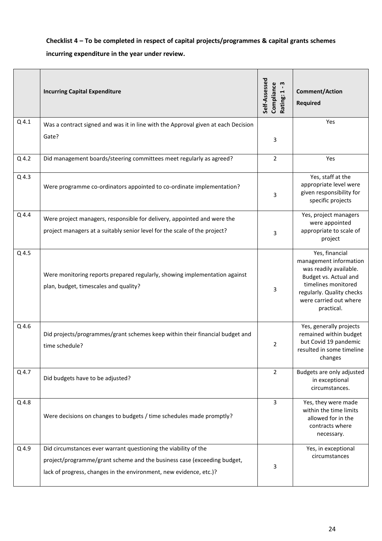**Checklist 4 – To be completed in respect of capital projects/programmes & capital grants schemes incurring expenditure in the year under review.**

|       | <b>Incurring Capital Expenditure</b>                                                                                | Self-Assessed<br>m<br>Compliance<br>Ţ<br>Rating: | <b>Comment/Action</b><br><b>Required</b>                                                                                                                                                |
|-------|---------------------------------------------------------------------------------------------------------------------|--------------------------------------------------|-----------------------------------------------------------------------------------------------------------------------------------------------------------------------------------------|
| Q 4.1 | Was a contract signed and was it in line with the Approval given at each Decision                                   |                                                  | Yes                                                                                                                                                                                     |
|       | Gate?                                                                                                               | 3                                                |                                                                                                                                                                                         |
| Q 4.2 | Did management boards/steering committees meet regularly as agreed?                                                 | $\overline{2}$                                   | Yes                                                                                                                                                                                     |
| Q 4.3 | Were programme co-ordinators appointed to co-ordinate implementation?                                               | 3                                                | Yes, staff at the<br>appropriate level were<br>given responsibility for<br>specific projects                                                                                            |
| Q 4.4 | Were project managers, responsible for delivery, appointed and were the                                             |                                                  | Yes, project managers<br>were appointed                                                                                                                                                 |
|       | project managers at a suitably senior level for the scale of the project?                                           | 3                                                | appropriate to scale of<br>project                                                                                                                                                      |
| Q 4.5 | Were monitoring reports prepared regularly, showing implementation against<br>plan, budget, timescales and quality? | 3                                                | Yes, financial<br>management information<br>was readily available.<br>Budget vs. Actual and<br>timelines monitored<br>regularly. Quality checks<br>were carried out where<br>practical. |
| Q 4.6 | Did projects/programmes/grant schemes keep within their financial budget and<br>time schedule?                      | $\overline{2}$                                   | Yes, generally projects<br>remained within budget<br>but Covid 19 pandemic<br>resulted in some timeline<br>changes                                                                      |
| Q 4.7 | Did budgets have to be adjusted?                                                                                    | $\overline{2}$                                   | Budgets are only adjusted<br>in exceptional<br>circumstances.                                                                                                                           |
| Q 4.8 | Were decisions on changes to budgets / time schedules made promptly?                                                | 3                                                | Yes, they were made<br>within the time limits<br>allowed for in the<br>contracts where<br>necessary.                                                                                    |
| Q 4.9 | Did circumstances ever warrant questioning the viability of the                                                     |                                                  | Yes, in exceptional<br>circumstances                                                                                                                                                    |
|       | project/programme/grant scheme and the business case (exceeding budget,                                             | 3                                                |                                                                                                                                                                                         |
|       | lack of progress, changes in the environment, new evidence, etc.)?                                                  |                                                  |                                                                                                                                                                                         |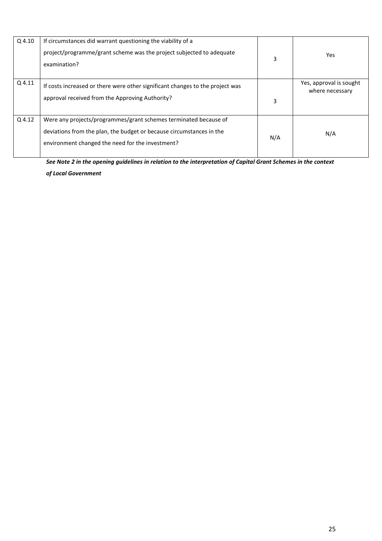| Q 4.10 | If circumstances did warrant questioning the viability of a<br>project/programme/grant scheme was the project subjected to adequate<br>examination?                                          | 3   | Yes                                        |
|--------|----------------------------------------------------------------------------------------------------------------------------------------------------------------------------------------------|-----|--------------------------------------------|
| Q 4.11 | If costs increased or there were other significant changes to the project was<br>approval received from the Approving Authority?                                                             | 3   | Yes, approval is sought<br>where necessary |
| Q 4.12 | Were any projects/programmes/grant schemes terminated because of<br>deviations from the plan, the budget or because circumstances in the<br>environment changed the need for the investment? | N/A | N/A                                        |

*See Note 2 in the opening guidelines in relation to the interpretation of Capital Grant Schemes in the context of Local Government*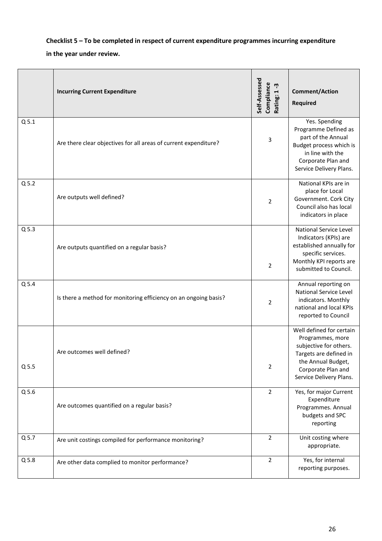## **Checklist 5 – To be completed in respect of current expenditure programmes incurring expenditure**

#### **in the year under review.**

|                  | <b>Incurring Current Expenditure</b>                             | Self-Assessed<br>Compliance<br>Ļ<br>Rating: 1 | <b>Comment/Action</b><br><b>Required</b>                                                                                                                                |
|------------------|------------------------------------------------------------------|-----------------------------------------------|-------------------------------------------------------------------------------------------------------------------------------------------------------------------------|
| Q <sub>5.1</sub> | Are there clear objectives for all areas of current expenditure? | 3                                             | Yes. Spending<br>Programme Defined as<br>part of the Annual<br>Budget process which is<br>in line with the<br>Corporate Plan and<br>Service Delivery Plans.             |
| $Q$ 5.2          | Are outputs well defined?                                        | 2                                             | National KPIs are in<br>place for Local<br>Government. Cork City<br>Council also has local<br>indicators in place                                                       |
| $Q$ 5.3          | Are outputs quantified on a regular basis?                       | $\overline{2}$                                | National Service Level<br>Indicators (KPIs) are<br>established annually for<br>specific services.<br>Monthly KPI reports are<br>submitted to Council.                   |
| Q 5.4            | Is there a method for monitoring efficiency on an ongoing basis? | 2                                             | Annual reporting on<br><b>National Service Level</b><br>indicators. Monthly<br>national and local KPIs<br>reported to Council                                           |
| $Q$ 5.5          | Are outcomes well defined?                                       | 2                                             | Well defined for certain<br>Programmes, more<br>subjective for others.<br>Targets are defined in<br>the Annual Budget,<br>Corporate Plan and<br>Service Delivery Plans. |
| $Q$ 5.6          | Are outcomes quantified on a regular basis?                      | $\overline{2}$                                | Yes, for major Current<br>Expenditure<br>Programmes. Annual<br>budgets and SPC<br>reporting                                                                             |
| $Q$ 5.7          | Are unit costings compiled for performance monitoring?           | $\overline{2}$                                | Unit costing where<br>appropriate.                                                                                                                                      |
| $Q$ 5.8          | Are other data complied to monitor performance?                  | $\overline{2}$                                | Yes, for internal<br>reporting purposes.                                                                                                                                |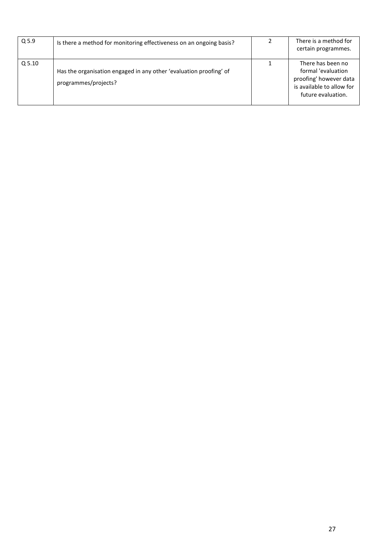| $Q$ 5.9           | Is there a method for monitoring effectiveness on an ongoing basis?                        | There is a method for<br>certain programmes.                                                                         |
|-------------------|--------------------------------------------------------------------------------------------|----------------------------------------------------------------------------------------------------------------------|
| Q <sub>5.10</sub> | Has the organisation engaged in any other 'evaluation proofing' of<br>programmes/projects? | There has been no<br>formal 'evaluation<br>proofing' however data<br>is available to allow for<br>future evaluation. |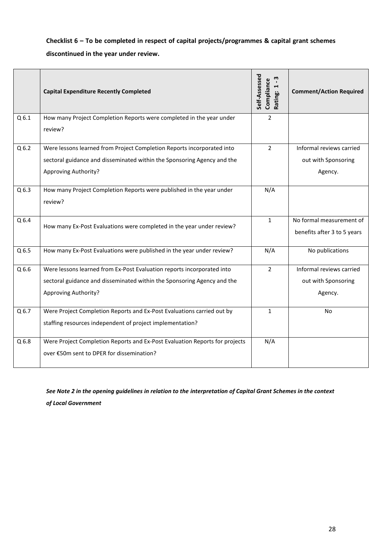## **Checklist 6 – To be completed in respect of capital projects/programmes & capital grant schemes discontinued in the year under review.**

|                  | <b>Capital Expenditure Recently Completed</b>                                                                                                                                    | Self-Assessed<br>Compliance<br>Rating: 1-3 | <b>Comment/Action Required</b>                             |
|------------------|----------------------------------------------------------------------------------------------------------------------------------------------------------------------------------|--------------------------------------------|------------------------------------------------------------|
| Q6.1             | How many Project Completion Reports were completed in the year under<br>review?                                                                                                  | $\overline{2}$                             |                                                            |
| Q <sub>6.2</sub> | Were lessons learned from Project Completion Reports incorporated into<br>sectoral guidance and disseminated within the Sponsoring Agency and the<br><b>Approving Authority?</b> | $\overline{2}$                             | Informal reviews carried<br>out with Sponsoring<br>Agency. |
| $Q$ 6.3          | How many Project Completion Reports were published in the year under<br>review?                                                                                                  | N/A                                        |                                                            |
| $Q$ 6.4          | How many Ex-Post Evaluations were completed in the year under review?                                                                                                            | $\mathbf{1}$                               | No formal measurement of<br>benefits after 3 to 5 years    |
| Q <sub>6.5</sub> | How many Ex-Post Evaluations were published in the year under review?                                                                                                            | N/A                                        | No publications                                            |
| $Q$ 6.6          | Were lessons learned from Ex-Post Evaluation reports incorporated into<br>sectoral guidance and disseminated within the Sponsoring Agency and the<br>Approving Authority?        | $\overline{2}$                             | Informal reviews carried<br>out with Sponsoring<br>Agency. |
| $Q$ 6.7          | Were Project Completion Reports and Ex-Post Evaluations carried out by<br>staffing resources independent of project implementation?                                              | $\mathbf{1}$                               | <b>No</b>                                                  |
| Q <sub>6.8</sub> | Were Project Completion Reports and Ex-Post Evaluation Reports for projects<br>over €50m sent to DPER for dissemination?                                                         | N/A                                        |                                                            |

*See Note 2 in the opening guidelines in relation to the interpretation of Capital Grant Schemes in the context of Local Government*